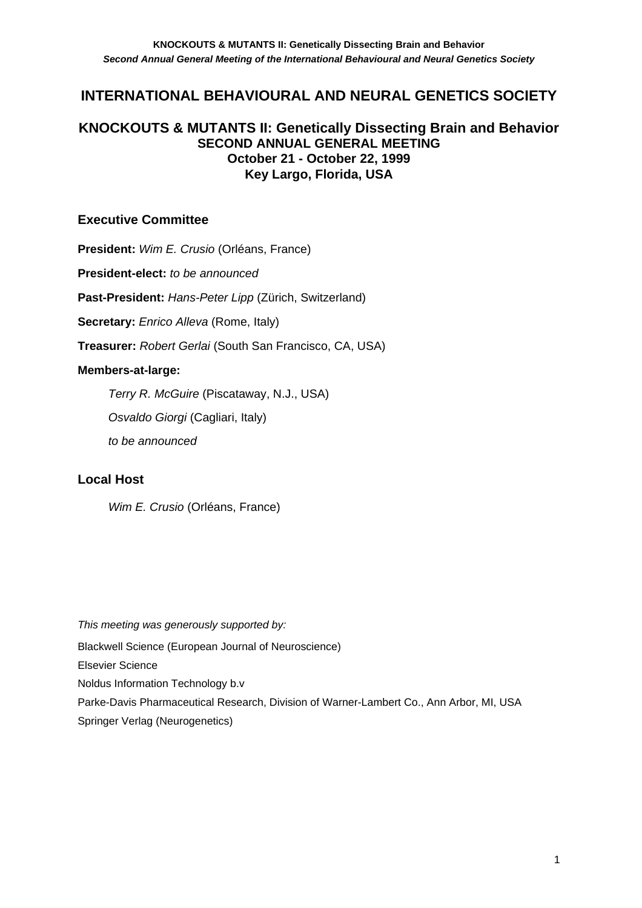# **INTERNATIONAL BEHAVIOURAL AND NEURAL GENETICS SOCIETY**

# **KNOCKOUTS & MUTANTS II: Genetically Dissecting Brain and Behavior SECOND ANNUAL GENERAL MEETING October 21 - October 22, 1999 Key Largo, Florida, USA**

# **Executive Committee**

**President:** *Wim E. Crusio* (Orléans, France)

**President-elect:** *to be announced*

**Past-President:** *Hans-Peter Lipp* (Zürich, Switzerland)

**Secretary:** *Enrico Alleva* (Rome, Italy)

**Treasurer:** *Robert Gerlai* (South San Francisco, CA, USA)

# **Members-at-large:**

 *Terry R. McGuire* (Piscataway, N.J., USA)

*Osvaldo Giorgi* (Cagliari, Italy)

*to be announced*

# **Local Host**

 *Wim E. Crusio* (Orléans, France)

*This meeting was generously supported by:*  Blackwell Science (European Journal of Neuroscience) Elsevier Science Noldus Information Technology b.v Parke-Davis Pharmaceutical Research, Division of Warner-Lambert Co., Ann Arbor, MI, USA Springer Verlag (Neurogenetics)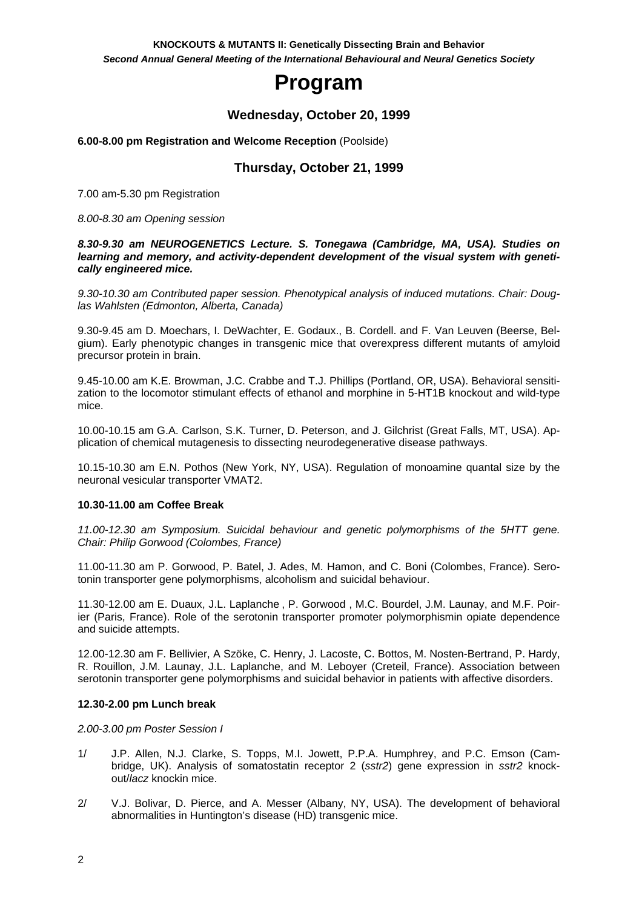# **Program**

**Wednesday, October 20, 1999** 

#### **6.00-8.00 pm Registration and Welcome Reception** (Poolside)

# **Thursday, October 21, 1999**

7.00 am-5.30 pm Registration

*8.00-8.30 am Opening session* 

*8.30-9.30 am NEUROGENETICS Lecture. S. Tonegawa (Cambridge, MA, USA). Studies on learning and memory, and activity-dependent development of the visual system with genetically engineered mice.* 

*9.30-10.30 am Contributed paper session. Phenotypical analysis of induced mutations. Chair: Douglas Wahlsten (Edmonton, Alberta, Canada)* 

9.30-9.45 am D. Moechars, I. DeWachter, E. Godaux., B. Cordell. and F. Van Leuven (Beerse, Belgium). Early phenotypic changes in transgenic mice that overexpress different mutants of amyloid precursor protein in brain.

9.45-10.00 am K.E. Browman, J.C. Crabbe and T.J. Phillips (Portland, OR, USA). Behavioral sensitization to the locomotor stimulant effects of ethanol and morphine in 5-HT1B knockout and wild-type mice.

10.00-10.15 am G.A. Carlson, S.K. Turner, D. Peterson, and J. Gilchrist (Great Falls, MT, USA). Application of chemical mutagenesis to dissecting neurodegenerative disease pathways.

10.15-10.30 am E.N. Pothos (New York, NY, USA). Regulation of monoamine quantal size by the neuronal vesicular transporter VMAT2.

#### **10.30-11.00 am Coffee Break**

*11.00-12.30 am Symposium. Suicidal behaviour and genetic polymorphisms of the 5HTT gene. Chair: Philip Gorwood (Colombes, France)* 

11.00-11.30 am P. Gorwood, P. Batel, J. Ades, M. Hamon, and C. Boni (Colombes, France). Serotonin transporter gene polymorphisms, alcoholism and suicidal behaviour.

11.30-12.00 am E. Duaux, J.L. Laplanche , P. Gorwood , M.C. Bourdel, J.M. Launay, and M.F. Poirier (Paris, France). Role of the serotonin transporter promoter polymorphismin opiate dependence and suicide attempts.

12.00-12.30 am F. Bellivier, A Szöke, C. Henry, J. Lacoste, C. Bottos, M. Nosten-Bertrand, P. Hardy, R. Rouillon, J.M. Launay, J.L. Laplanche, and M. Leboyer (Creteil, France). Association between serotonin transporter gene polymorphisms and suicidal behavior in patients with affective disorders.

#### **12.30-2.00 pm Lunch break**

*2.00-3.00 pm Poster Session I* 

- 1/ J.P. Allen, N.J. Clarke, S. Topps, M.I. Jowett, P.P.A. Humphrey, and P.C. Emson (Cambridge, UK). Analysis of somatostatin receptor 2 (*sstr2*) gene expression in *sstr2* knockout/*lacz* knockin mice.
- 2/ V.J. Bolivar, D. Pierce, and A. Messer (Albany, NY, USA). The development of behavioral abnormalities in Huntington's disease (HD) transgenic mice.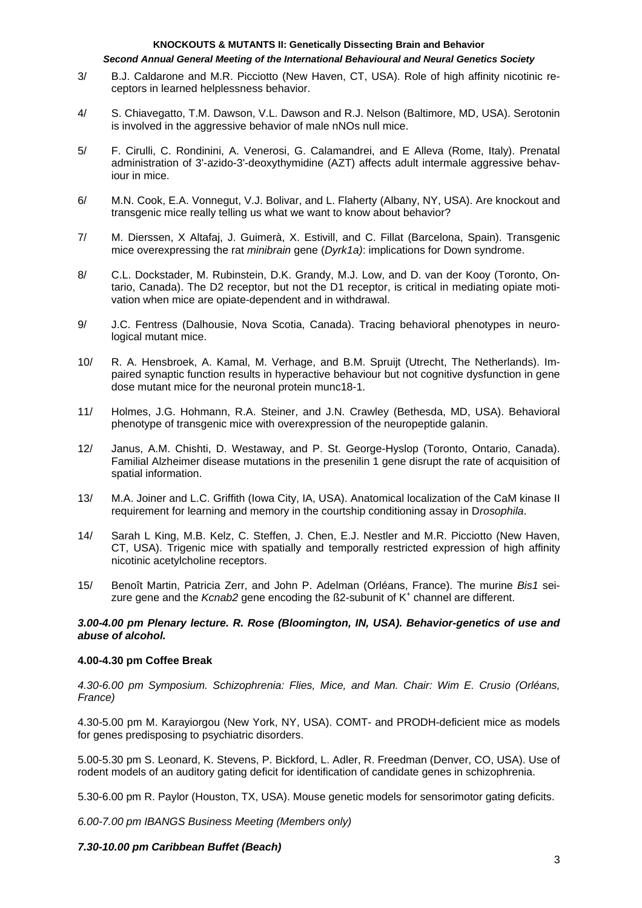#### **KNOCKOUTS & MUTANTS II: Genetically Dissecting Brain and Behavior**

## *Second Annual General Meeting of the International Behavioural and Neural Genetics Society*

- 3/ B.J. Caldarone and M.R. Picciotto (New Haven, CT, USA). Role of high affinity nicotinic receptors in learned helplessness behavior.
- 4/ S. Chiavegatto, T.M. Dawson, V.L. Dawson and R.J. Nelson (Baltimore, MD, USA). Serotonin is involved in the aggressive behavior of male nNOs null mice.
- 5/ F. Cirulli, C. Rondinini, A. Venerosi, G. Calamandrei, and E Alleva (Rome, Italy). Prenatal administration of 3'-azido-3'-deoxythymidine (AZT) affects adult intermale aggressive behaviour in mice.
- 6/ M.N. Cook, E.A. Vonnegut, V.J. Bolivar, and L. Flaherty (Albany, NY, USA). Are knockout and transgenic mice really telling us what we want to know about behavior?
- 7/ M. Dierssen, X Altafaj, J. Guimerà, X. Estivill, and C. Fillat (Barcelona, Spain). Transgenic mice overexpressing the rat *minibrain* gene (*Dyrk1a)*: implications for Down syndrome.
- 8/ C.L. Dockstader, M. Rubinstein, D.K. Grandy, M.J. Low, and D. van der Kooy (Toronto, Ontario, Canada). The D2 receptor, but not the D1 receptor, is critical in mediating opiate motivation when mice are opiate-dependent and in withdrawal.
- 9/ J.C. Fentress (Dalhousie, Nova Scotia, Canada). Tracing behavioral phenotypes in neurological mutant mice.
- 10/ R. A. Hensbroek, A. Kamal, M. Verhage, and B.M. Spruijt (Utrecht, The Netherlands). Impaired synaptic function results in hyperactive behaviour but not cognitive dysfunction in gene dose mutant mice for the neuronal protein munc18-1.
- 11/ Holmes, J.G. Hohmann, R.A. Steiner, and J.N. Crawley (Bethesda, MD, USA). Behavioral phenotype of transgenic mice with overexpression of the neuropeptide galanin.
- 12/ Janus, A.M. Chishti, D. Westaway, and P. St. George-Hyslop (Toronto, Ontario, Canada). Familial Alzheimer disease mutations in the presenilin 1 gene disrupt the rate of acquisition of spatial information.
- 13/ M.A. Joiner and L.C. Griffith (Iowa City, IA, USA). Anatomical localization of the CaM kinase II requirement for learning and memory in the courtship conditioning assay in D*rosophila*.
- 14/ Sarah L King, M.B. Kelz, C. Steffen, J. Chen, E.J. Nestler and M.R. Picciotto (New Haven, CT, USA). Trigenic mice with spatially and temporally restricted expression of high affinity nicotinic acetylcholine receptors.
- 15/ Benoît Martin, Patricia Zerr, and John P. Adelman (Orléans, France). The murine *Bis1* seizure gene and the *Kcnab2* gene encoding the ß2-subunit of K<sup>+</sup> channel are different.

#### *3.00-4.00 pm Plenary lecture. R. Rose (Bloomington, IN, USA). Behavior-genetics of use and abuse of alcohol.*

#### **4.00-4.30 pm Coffee Break**

*4.30-6.00 pm Symposium. Schizophrenia: Flies, Mice, and Man. Chair: Wim E. Crusio (Orléans, France)* 

4.30-5.00 pm M. Karayiorgou (New York, NY, USA). COMT- and PRODH-deficient mice as models for genes predisposing to psychiatric disorders.

5.00-5.30 pm S. Leonard, K. Stevens, P. Bickford, L. Adler, R. Freedman (Denver, CO, USA). Use of rodent models of an auditory gating deficit for identification of candidate genes in schizophrenia.

5.30-6.00 pm R. Paylor (Houston, TX, USA). Mouse genetic models for sensorimotor gating deficits.

*6.00-7.00 pm IBANGS Business Meeting (Members only)* 

# *7.30-10.00 pm Caribbean Buffet (Beach)*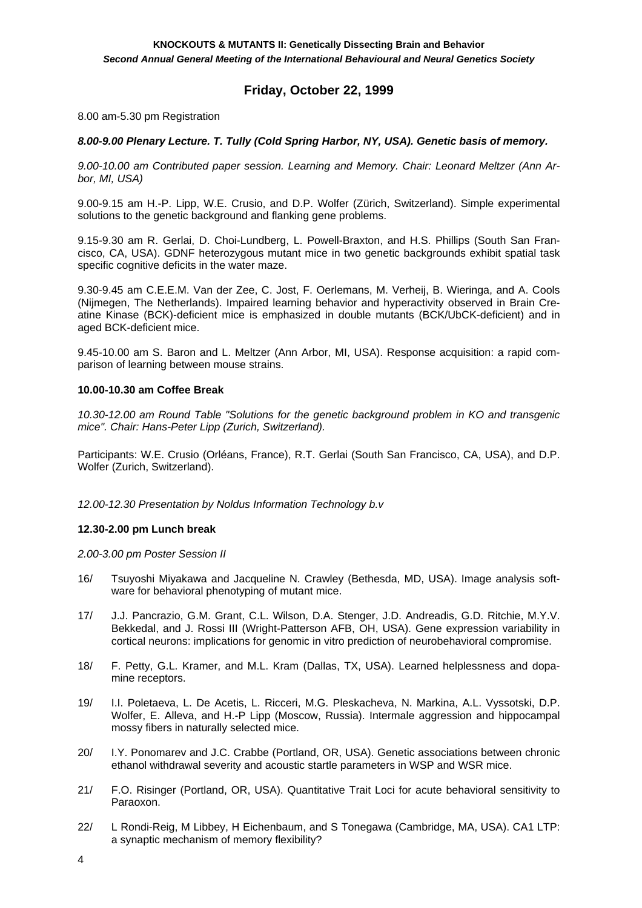# **Friday, October 22, 1999**

8.00 am-5.30 pm Registration

#### *8.00-9.00 Plenary Lecture. T. Tully (Cold Spring Harbor, NY, USA). Genetic basis of memory.*

*9.00-10.00 am Contributed paper session. Learning and Memory. Chair: Leonard Meltzer (Ann Arbor, MI, USA)* 

9.00-9.15 am H.-P. Lipp, W.E. Crusio, and D.P. Wolfer (Zürich, Switzerland). Simple experimental solutions to the genetic background and flanking gene problems.

9.15-9.30 am R. Gerlai, D. Choi-Lundberg, L. Powell-Braxton, and H.S. Phillips (South San Francisco, CA, USA). GDNF heterozygous mutant mice in two genetic backgrounds exhibit spatial task specific cognitive deficits in the water maze.

9.30-9.45 am C.E.E.M. Van der Zee, C. Jost, F. Oerlemans, M. Verheij, B. Wieringa, and A. Cools (Nijmegen, The Netherlands). Impaired learning behavior and hyperactivity observed in Brain Creatine Kinase (BCK)-deficient mice is emphasized in double mutants (BCK/UbCK-deficient) and in aged BCK-deficient mice.

9.45-10.00 am S. Baron and L. Meltzer (Ann Arbor, MI, USA). Response acquisition: a rapid comparison of learning between mouse strains.

#### **10.00-10.30 am Coffee Break**

*10.30-12.00 am Round Table "Solutions for the genetic background problem in KO and transgenic mice". Chair: Hans-Peter Lipp (Zurich, Switzerland).* 

Participants: W.E. Crusio (Orléans, France), R.T. Gerlai (South San Francisco, CA, USA), and D.P. Wolfer (Zurich, Switzerland).

*12.00-12.30 Presentation by Noldus Information Technology b.v* 

#### **12.30-2.00 pm Lunch break**

*2.00-3.00 pm Poster Session II* 

- 16/ Tsuyoshi Miyakawa and Jacqueline N. Crawley (Bethesda, MD, USA). Image analysis software for behavioral phenotyping of mutant mice.
- 17/ J.J. Pancrazio, G.M. Grant, C.L. Wilson, D.A. Stenger, J.D. Andreadis, G.D. Ritchie, M.Y.V. Bekkedal, and J. Rossi III (Wright-Patterson AFB, OH, USA). Gene expression variability in cortical neurons: implications for genomic in vitro prediction of neurobehavioral compromise.
- 18/ F. Petty, G.L. Kramer, and M.L. Kram (Dallas, TX, USA). Learned helplessness and dopamine receptors.
- 19/ I.I. Poletaeva, L. De Acetis, L. Ricceri, M.G. Pleskacheva, N. Markina, A.L. Vyssotski, D.P. Wolfer, E. Alleva, and H.-P Lipp (Moscow, Russia). Intermale aggression and hippocampal mossy fibers in naturally selected mice.
- 20/ I.Y. Ponomarev and J.C. Crabbe (Portland, OR, USA). Genetic associations between chronic ethanol withdrawal severity and acoustic startle parameters in WSP and WSR mice.
- 21/ F.O. Risinger (Portland, OR, USA). Quantitative Trait Loci for acute behavioral sensitivity to Paraoxon.
- 22/ L Rondi-Reig, M Libbey, H Eichenbaum, and S Tonegawa (Cambridge, MA, USA). CA1 LTP: a synaptic mechanism of memory flexibility?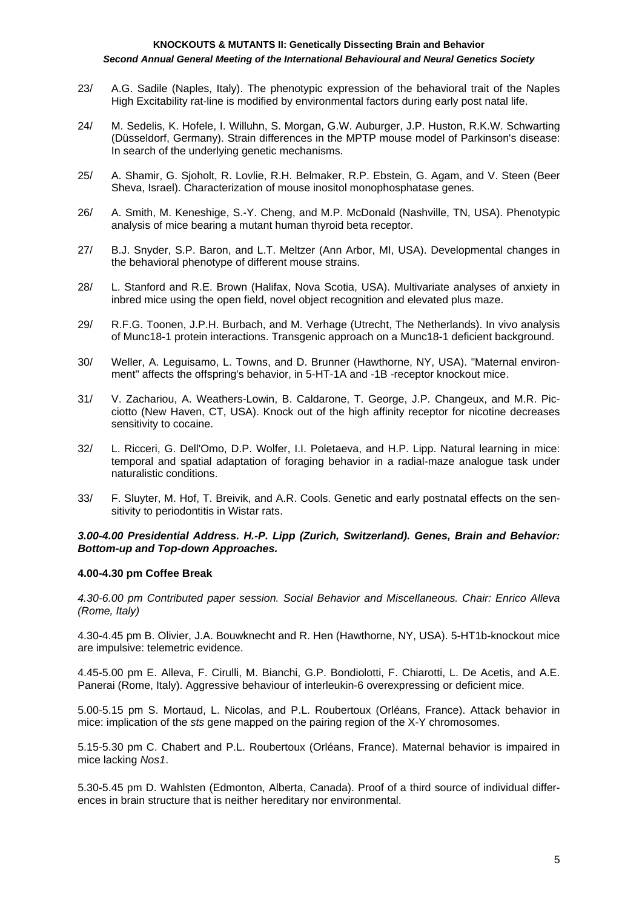- 23/ A.G. Sadile (Naples, Italy). The phenotypic expression of the behavioral trait of the Naples High Excitability rat-line is modified by environmental factors during early post natal life.
- 24/ M. Sedelis, K. Hofele, I. Willuhn, S. Morgan, G.W. Auburger, J.P. Huston, R.K.W. Schwarting (Düsseldorf, Germany). Strain differences in the MPTP mouse model of Parkinson's disease: In search of the underlying genetic mechanisms.
- 25/ A. Shamir, G. Sjoholt, R. Lovlie, R.H. Belmaker, R.P. Ebstein, G. Agam, and V. Steen (Beer Sheva, Israel). Characterization of mouse inositol monophosphatase genes.
- 26/ A. Smith, M. Keneshige, S.-Y. Cheng, and M.P. McDonald (Nashville, TN, USA). Phenotypic analysis of mice bearing a mutant human thyroid beta receptor.
- 27/ B.J. Snyder, S.P. Baron, and L.T. Meltzer (Ann Arbor, MI, USA). Developmental changes in the behavioral phenotype of different mouse strains.
- 28/ L. Stanford and R.E. Brown (Halifax, Nova Scotia, USA). Multivariate analyses of anxiety in inbred mice using the open field, novel object recognition and elevated plus maze.
- 29/ R.F.G. Toonen, J.P.H. Burbach, and M. Verhage (Utrecht, The Netherlands). In vivo analysis of Munc18-1 protein interactions. Transgenic approach on a Munc18-1 deficient background.
- 30/ Weller, A. Leguisamo, L. Towns, and D. Brunner (Hawthorne, NY, USA). "Maternal environment" affects the offspring's behavior, in 5-HT-1A and -1B -receptor knockout mice.
- 31/ V. Zachariou, A. Weathers-Lowin, B. Caldarone, T. George, J.P. Changeux, and M.R. Picciotto (New Haven, CT, USA). Knock out of the high affinity receptor for nicotine decreases sensitivity to cocaine.
- 32/ L. Ricceri, G. Dell'Omo, D.P. Wolfer, I.I. Poletaeva, and H.P. Lipp. Natural learning in mice: temporal and spatial adaptation of foraging behavior in a radial-maze analogue task under naturalistic conditions.
- 33/ F. Sluyter, M. Hof, T. Breivik, and A.R. Cools. Genetic and early postnatal effects on the sensitivity to periodontitis in Wistar rats.

#### *3.00-4.00 Presidential Address. H.-P. Lipp (Zurich, Switzerland). Genes, Brain and Behavior: Bottom-up and Top-down Approaches.*

# **4.00-4.30 pm Coffee Break**

*4.30-6.00 pm Contributed paper session. Social Behavior and Miscellaneous. Chair: Enrico Alleva (Rome, Italy)* 

4.30-4.45 pm B. Olivier, J.A. Bouwknecht and R. Hen (Hawthorne, NY, USA). 5-HT1b-knockout mice are impulsive: telemetric evidence.

4.45-5.00 pm E. Alleva, F. Cirulli, M. Bianchi, G.P. Bondiolotti, F. Chiarotti, L. De Acetis, and A.E. Panerai (Rome, Italy). Aggressive behaviour of interleukin-6 overexpressing or deficient mice.

5.00-5.15 pm S. Mortaud, L. Nicolas, and P.L. Roubertoux (Orléans, France). Attack behavior in mice: implication of the *sts* gene mapped on the pairing region of the X-Y chromosomes.

5.15-5.30 pm C. Chabert and P.L. Roubertoux (Orléans, France). Maternal behavior is impaired in mice lacking *Nos1*.

5.30-5.45 pm D. Wahlsten (Edmonton, Alberta, Canada). Proof of a third source of individual differences in brain structure that is neither hereditary nor environmental.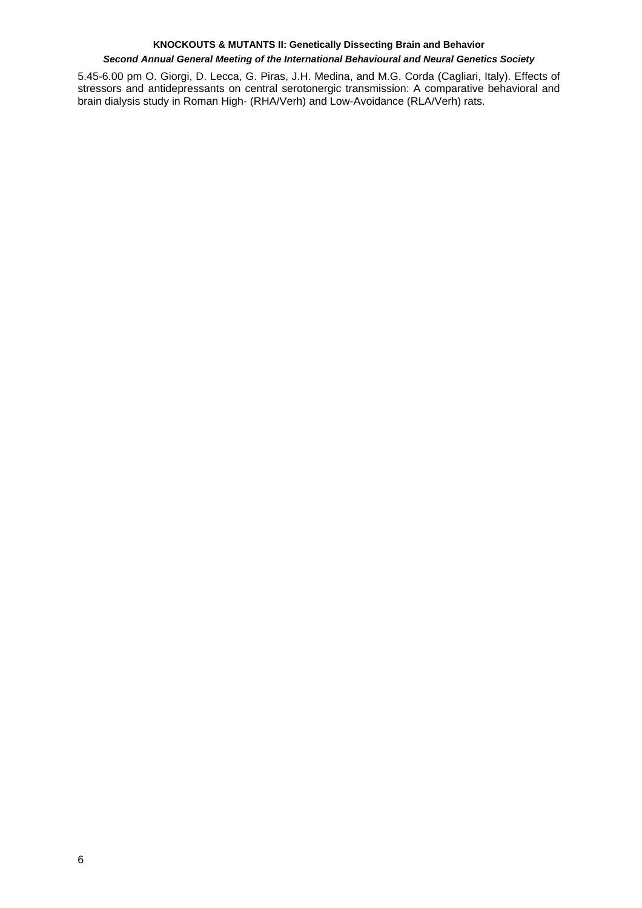#### **KNOCKOUTS & MUTANTS II: Genetically Dissecting Brain and Behavior**

# *Second Annual General Meeting of the International Behavioural and Neural Genetics Society*

5.45-6.00 pm O. Giorgi, D. Lecca, G. Piras, J.H. Medina, and M.G. Corda (Cagliari, Italy). Effects of stressors and antidepressants on central serotonergic transmission: A comparative behavioral and brain dialysis study in Roman High- (RHA/Verh) and Low-Avoidance (RLA/Verh) rats.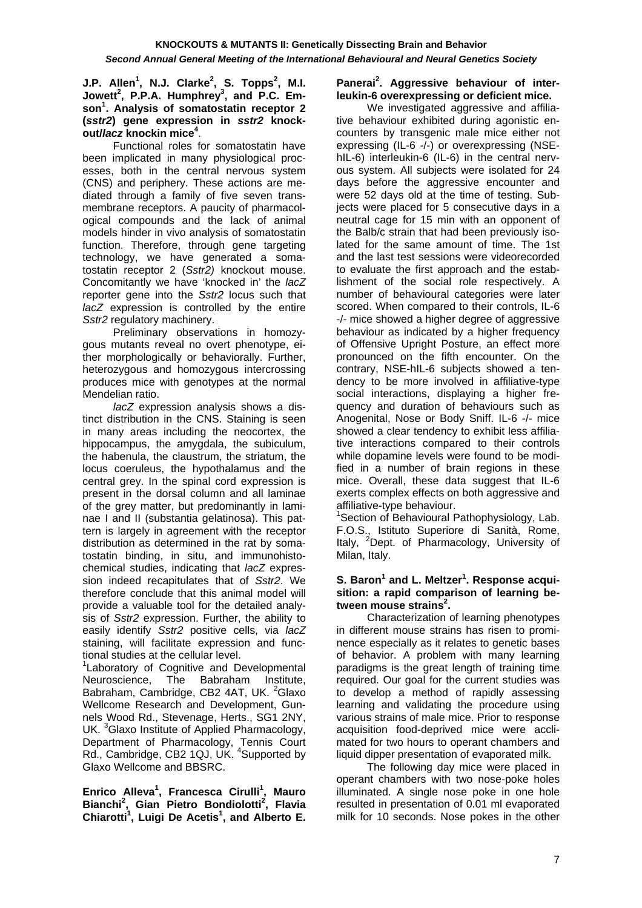#### **J.P. Allen<sup>1</sup>, N.J. Clarke<sup>2</sup>, S. Topps<sup>2</sup>, M.I. Jowett<sup>2</sup> , P.P.A. Humphrey3 , and P.C. Emson1 . Analysis of somatostatin receptor 2 (***sstr2***) gene expression in** *sstr2* **knockout/***lacz* **knockin mice<sup>4</sup>** .

 Functional roles for somatostatin have been implicated in many physiological processes, both in the central nervous system (CNS) and periphery. These actions are mediated through a family of five seven transmembrane receptors. A paucity of pharmacological compounds and the lack of animal models hinder in vivo analysis of somatostatin function. Therefore, through gene targeting technology, we have generated a somatostatin receptor 2 (*Sstr2)* knockout mouse. Concomitantly we have 'knocked in' the *lacZ* reporter gene into the *Sstr2* locus such that *lacZ* expression is controlled by the entire *Sstr2* regulatory machinery.

 Preliminary observations in homozygous mutants reveal no overt phenotype, either morphologically or behaviorally. Further, heterozygous and homozygous intercrossing produces mice with genotypes at the normal Mendelian ratio.

 *lacZ* expression analysis shows a distinct distribution in the CNS. Staining is seen in many areas including the neocortex, the hippocampus, the amygdala, the subiculum, the habenula, the claustrum, the striatum, the locus coeruleus, the hypothalamus and the central grey. In the spinal cord expression is present in the dorsal column and all laminae of the grey matter, but predominantly in laminae I and II (substantia gelatinosa). This pattern is largely in agreement with the receptor distribution as determined in the rat by somatostatin binding, in situ, and immunohistochemical studies, indicating that *lacZ* expression indeed recapitulates that of *Sstr2*. We therefore conclude that this animal model will provide a valuable tool for the detailed analysis of *Sstr2* expression. Further, the ability to easily identify *Sstr2* positive cells, via *lacZ* staining, will facilitate expression and functional studies at the cellular level.

<sup>1</sup> Laboratory of Cognitive and Developmental Neuroscience, The Babraham Institute, Babraham, Cambridge, CB2 4AT, UK. <sup>2</sup>Glaxo Wellcome Research and Development, Gunnels Wood Rd., Stevenage, Herts., SG1 2NY, UK. <sup>3</sup>Glaxo Institute of Applied Pharmacology, Department of Pharmacology, Tennis Court Rd., Cambridge, CB2 1QJ, UK. <sup>4</sup>Supported by Glaxo Wellcome and BBSRC.

**Enrico Alleva<sup>1</sup> , Francesca Cirulli<sup>1</sup> , Mauro**  Bianchi<sup>2</sup>, Gian Pietro Bondiolotti<sup>2</sup>, Flavia **Chiarotti1 , Luigi De Acetis<sup>1</sup> , and Alberto E.** 

# Panerai<sup>2</sup>. Aggressive behaviour of inter**leukin-6 overexpressing or deficient mice.**

 We investigated aggressive and affiliative behaviour exhibited during agonistic encounters by transgenic male mice either not expressing (IL-6 -/-) or overexpressing (NSEhIL-6) interleukin-6 (IL-6) in the central nervous system. All subjects were isolated for 24 days before the aggressive encounter and were 52 days old at the time of testing. Subjects were placed for 5 consecutive days in a neutral cage for 15 min with an opponent of the Balb/c strain that had been previously isolated for the same amount of time. The 1st and the last test sessions were videorecorded to evaluate the first approach and the establishment of the social role respectively. A number of behavioural categories were later scored. When compared to their controls, IL-6 -/- mice showed a higher degree of aggressive behaviour as indicated by a higher frequency of Offensive Upright Posture, an effect more pronounced on the fifth encounter. On the contrary, NSE-hIL-6 subjects showed a tendency to be more involved in affiliative-type social interactions, displaying a higher frequency and duration of behaviours such as Anogenital, Nose or Body Sniff. IL-6 -/- mice showed a clear tendency to exhibit less affiliative interactions compared to their controls while dopamine levels were found to be modified in a number of brain regions in these mice. Overall, these data suggest that IL-6 exerts complex effects on both aggressive and affiliative-type behaviour.

<sup>1</sup>Section of Behavioural Pathophysiology, Lab. F.O.S., Istituto Superiore di Sanità, Rome, Italy, <sup>2</sup>Dept. of Pharmacology, University of Milan, Italy.

# **S.** Baron<sup>1</sup> and L. Meltzer<sup>1</sup>. Response acqui**sition: a rapid comparison of learning between mouse strains<sup>2</sup> .**

 Characterization of learning phenotypes in different mouse strains has risen to prominence especially as it relates to genetic bases of behavior. A problem with many learning paradigms is the great length of training time required. Our goal for the current studies was to develop a method of rapidly assessing learning and validating the procedure using various strains of male mice. Prior to response acquisition food-deprived mice were acclimated for two hours to operant chambers and liquid dipper presentation of evaporated milk.

 The following day mice were placed in operant chambers with two nose-poke holes illuminated. A single nose poke in one hole resulted in presentation of 0.01 ml evaporated milk for 10 seconds. Nose pokes in the other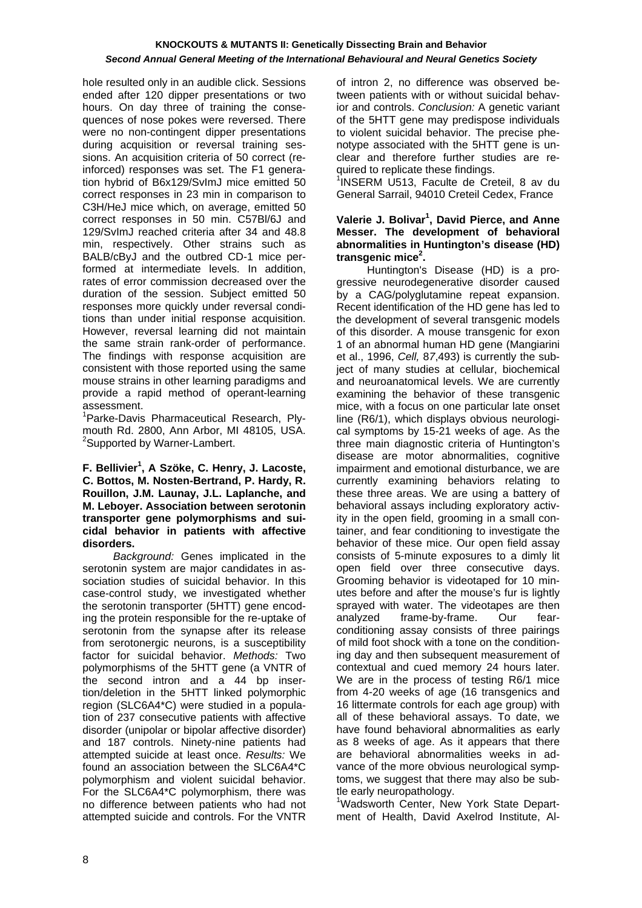hole resulted only in an audible click. Sessions ended after 120 dipper presentations or two hours. On day three of training the consequences of nose pokes were reversed. There were no non-contingent dipper presentations during acquisition or reversal training sessions. An acquisition criteria of 50 correct (reinforced) responses was set. The F1 generation hybrid of B6x129/SvImJ mice emitted 50 correct responses in 23 min in comparison to C3H/HeJ mice which, on average, emitted 50 correct responses in 50 min. C57Bl/6J and 129/SvImJ reached criteria after 34 and 48.8 min, respectively. Other strains such as BALB/cByJ and the outbred CD-1 mice performed at intermediate levels. In addition, rates of error commission decreased over the duration of the session. Subject emitted 50 responses more quickly under reversal conditions than under initial response acquisition. However, reversal learning did not maintain the same strain rank-order of performance. The findings with response acquisition are consistent with those reported using the same mouse strains in other learning paradigms and provide a rapid method of operant-learning assessment.

<sup>1</sup>Parke-Davis Pharmaceutical Research, Plymouth Rd. 2800, Ann Arbor, MI 48105, USA. <sup>2</sup>Supported by Warner-Lambert.

#### **F. Bellivier<sup>1</sup> , A Szöke, C. Henry, J. Lacoste, C. Bottos, M. Nosten-Bertrand, P. Hardy, R. Rouillon, J.M. Launay, J.L. Laplanche, and M. Leboyer. Association between serotonin transporter gene polymorphisms and suicidal behavior in patients with affective disorders.**

*Background:* Genes implicated in the serotonin system are major candidates in association studies of suicidal behavior. In this case-control study, we investigated whether the serotonin transporter (5HTT) gene encoding the protein responsible for the re-uptake of serotonin from the synapse after its release from serotonergic neurons, is a susceptibility factor for suicidal behavior. *Methods:* Two polymorphisms of the 5HTT gene (a VNTR of the second intron and a 44 bp insertion/deletion in the 5HTT linked polymorphic region (SLC6A4\*C) were studied in a population of 237 consecutive patients with affective disorder (unipolar or bipolar affective disorder) and 187 controls. Ninety-nine patients had attempted suicide at least once. *Results:* We found an association between the SLC6A4\*C polymorphism and violent suicidal behavior. For the SLC6A4\*C polymorphism, there was no difference between patients who had not attempted suicide and controls. For the VNTR of intron 2, no difference was observed between patients with or without suicidal behavior and controls. *Conclusion:* A genetic variant of the 5HTT gene may predispose individuals to violent suicidal behavior. The precise phenotype associated with the 5HTT gene is unclear and therefore further studies are required to replicate these findings.

<sup>1</sup>INSERM U513, Faculte de Creteil, 8 av du General Sarrail, 94010 Creteil Cedex, France

#### **Valerie J. Bolivar<sup>1</sup> , David Pierce, and Anne Messer. The development of behavioral abnormalities in Huntington's disease (HD) transgenic mice<sup>2</sup> .**

 Huntington's Disease (HD) is a progressive neurodegenerative disorder caused by a CAG/polyglutamine repeat expansion. Recent identification of the HD gene has led to the development of several transgenic models of this disorder. A mouse transgenic for exon 1 of an abnormal human HD gene (Mangiarini et al., 1996, *Cell,* 8*7*,493) is currently the subject of many studies at cellular, biochemical and neuroanatomical levels. We are currently examining the behavior of these transgenic mice, with a focus on one particular late onset line (R6/1), which displays obvious neurological symptoms by 15-21 weeks of age. As the three main diagnostic criteria of Huntington's disease are motor abnormalities, cognitive impairment and emotional disturbance, we are currently examining behaviors relating to these three areas. We are using a battery of behavioral assays including exploratory activity in the open field, grooming in a small container, and fear conditioning to investigate the behavior of these mice. Our open field assay consists of 5-minute exposures to a dimly lit open field over three consecutive days. Grooming behavior is videotaped for 10 minutes before and after the mouse's fur is lightly sprayed with water. The videotapes are then analyzed frame-by-frame. Our fearconditioning assay consists of three pairings of mild foot shock with a tone on the conditioning day and then subsequent measurement of contextual and cued memory 24 hours later. We are in the process of testing R6/1 mice from 4-20 weeks of age (16 transgenics and 16 littermate controls for each age group) with all of these behavioral assays. To date, we have found behavioral abnormalities as early as 8 weeks of age. As it appears that there are behavioral abnormalities weeks in advance of the more obvious neurological symptoms, we suggest that there may also be subtle early neuropathology.

<sup>1</sup>Wadsworth Center, New York State Department of Health, David Axelrod Institute, Al-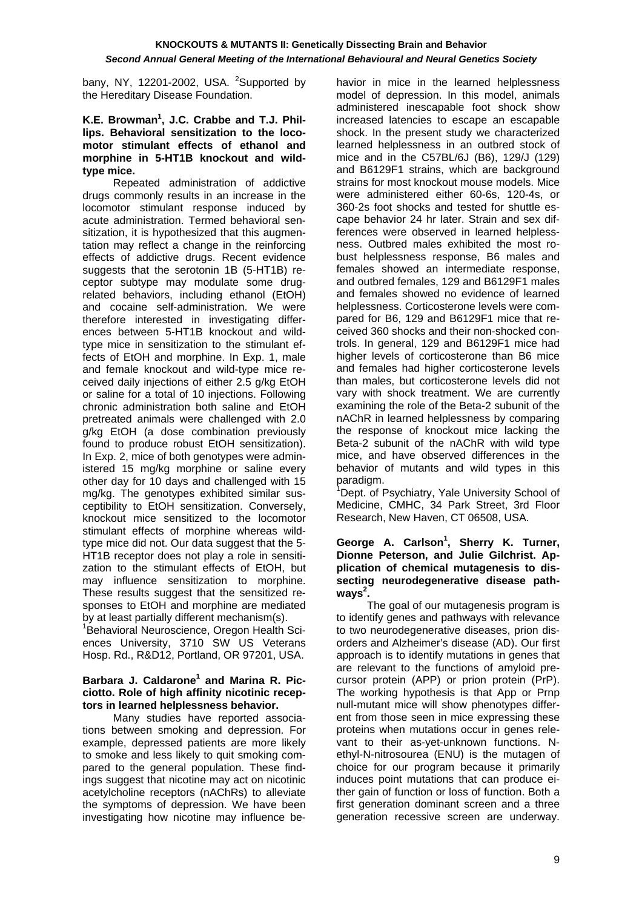bany, NY, 12201-2002, USA. <sup>2</sup>Supported by the Hereditary Disease Foundation.

#### K.E. Browman<sup>1</sup>, J.C. Crabbe and T.J. Phil**lips. Behavioral sensitization to the locomotor stimulant effects of ethanol and morphine in 5-HT1B knockout and wildtype mice.**

 Repeated administration of addictive drugs commonly results in an increase in the locomotor stimulant response induced by acute administration. Termed behavioral sensitization, it is hypothesized that this augmentation may reflect a change in the reinforcing effects of addictive drugs. Recent evidence suggests that the serotonin 1B (5-HT1B) receptor subtype may modulate some drugrelated behaviors, including ethanol (EtOH) and cocaine self-administration. We were therefore interested in investigating differences between 5-HT1B knockout and wildtype mice in sensitization to the stimulant effects of EtOH and morphine. In Exp. 1, male and female knockout and wild-type mice received daily injections of either 2.5 g/kg EtOH or saline for a total of 10 injections. Following chronic administration both saline and EtOH pretreated animals were challenged with 2.0 g/kg EtOH (a dose combination previously found to produce robust EtOH sensitization). In Exp. 2, mice of both genotypes were administered 15 mg/kg morphine or saline every other day for 10 days and challenged with 15 mg/kg. The genotypes exhibited similar susceptibility to EtOH sensitization. Conversely, knockout mice sensitized to the locomotor stimulant effects of morphine whereas wildtype mice did not. Our data suggest that the 5- HT1B receptor does not play a role in sensitization to the stimulant effects of EtOH, but may influence sensitization to morphine. These results suggest that the sensitized responses to EtOH and morphine are mediated by at least partially different mechanism(s).

1 Behavioral Neuroscience, Oregon Health Sciences University, 3710 SW US Veterans Hosp. Rd., R&D12, Portland, OR 97201, USA.

#### **Barbara J. Caldarone<sup>1</sup> and Marina R. Picciotto. Role of high affinity nicotinic receptors in learned helplessness behavior.**

 Many studies have reported associations between smoking and depression. For example, depressed patients are more likely to smoke and less likely to quit smoking compared to the general population. These findings suggest that nicotine may act on nicotinic acetylcholine receptors (nAChRs) to alleviate the symptoms of depression. We have been investigating how nicotine may influence behavior in mice in the learned helplessness model of depression. In this model, animals administered inescapable foot shock show increased latencies to escape an escapable shock. In the present study we characterized learned helplessness in an outbred stock of mice and in the C57BL/6J (B6), 129/J (129) and B6129F1 strains, which are background strains for most knockout mouse models. Mice were administered either 60-6s, 120-4s, or 360-2s foot shocks and tested for shuttle escape behavior 24 hr later. Strain and sex differences were observed in learned helplessness. Outbred males exhibited the most robust helplessness response, B6 males and females showed an intermediate response, and outbred females, 129 and B6129F1 males and females showed no evidence of learned helplessness. Corticosterone levels were compared for B6, 129 and B6129F1 mice that received 360 shocks and their non-shocked controls. In general, 129 and B6129F1 mice had higher levels of corticosterone than B6 mice and females had higher corticosterone levels than males, but corticosterone levels did not vary with shock treatment. We are currently examining the role of the Beta-2 subunit of the nAChR in learned helplessness by comparing the response of knockout mice lacking the Beta-2 subunit of the nAChR with wild type mice, and have observed differences in the behavior of mutants and wild types in this paradigm.

<sup>1</sup>Dept. of Psychiatry, Yale University School of Medicine, CMHC, 34 Park Street, 3rd Floor Research, New Haven, CT 06508, USA.

#### **George A. Carlson<sup>1</sup> , Sherry K. Turner, Dionne Peterson, and Julie Gilchrist. Application of chemical mutagenesis to dissecting neurodegenerative disease pathways<sup>2</sup> .**

 The goal of our mutagenesis program is to identify genes and pathways with relevance to two neurodegenerative diseases, prion disorders and Alzheimer's disease (AD). Our first approach is to identify mutations in genes that are relevant to the functions of amyloid precursor protein (APP) or prion protein (PrP). The working hypothesis is that App or Prnp null-mutant mice will show phenotypes different from those seen in mice expressing these proteins when mutations occur in genes relevant to their as-yet-unknown functions. Nethyl-N-nitrosourea (ENU) is the mutagen of choice for our program because it primarily induces point mutations that can produce either gain of function or loss of function. Both a first generation dominant screen and a three generation recessive screen are underway.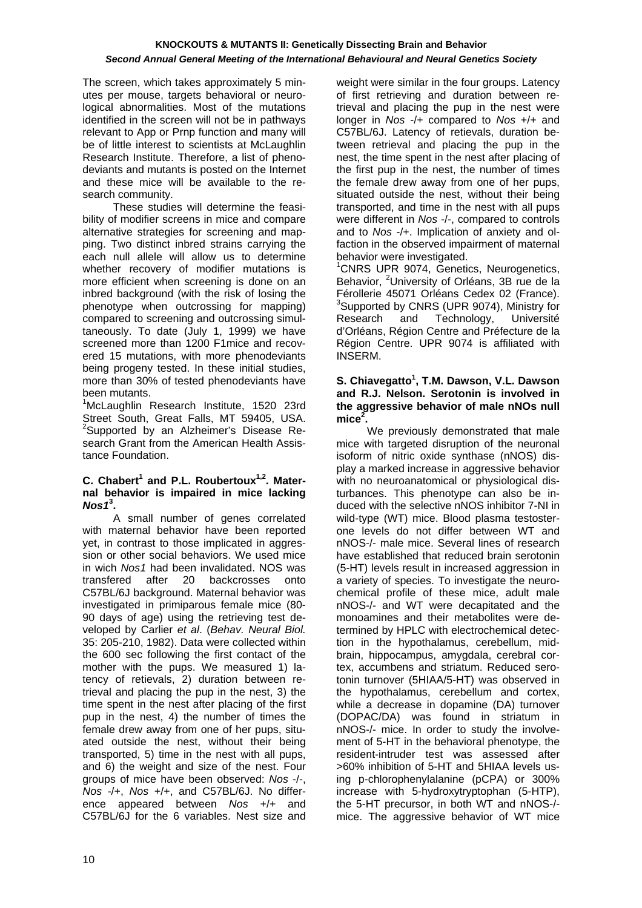The screen, which takes approximately 5 minutes per mouse, targets behavioral or neurological abnormalities. Most of the mutations identified in the screen will not be in pathways relevant to App or Prnp function and many will be of little interest to scientists at McLaughlin Research Institute. Therefore, a list of phenodeviants and mutants is posted on the Internet and these mice will be available to the research community.

 These studies will determine the feasibility of modifier screens in mice and compare alternative strategies for screening and mapping. Two distinct inbred strains carrying the each null allele will allow us to determine whether recovery of modifier mutations is more efficient when screening is done on an inbred background (with the risk of losing the phenotype when outcrossing for mapping) compared to screening and outcrossing simultaneously. To date (July 1, 1999) we have screened more than 1200 F1mice and recovered 15 mutations, with more phenodeviants being progeny tested. In these initial studies, more than 30% of tested phenodeviants have been mutants.

<sup>1</sup>McLaughlin Research Institute, 1520 23rd Street South, Great Falls, MT 59405, USA. <sup>2</sup>Supported by an Alzheimer's Disease Research Grant from the American Health Assistance Foundation.

#### C. Chabert<sup>1</sup> and P.L. Roubertoux<sup>1,2</sup>. Mater**nal behavior is impaired in mice lacking**  *Nos1***<sup>3</sup> .**

 A small number of genes correlated with maternal behavior have been reported yet, in contrast to those implicated in aggression or other social behaviors. We used mice in wich *Nos1* had been invalidated. NOS was transfered after 20 backcrosses onto C57BL/6J background. Maternal behavior was investigated in primiparous female mice (80- 90 days of age) using the retrieving test developed by Carlier *et al*. (*Behav. Neural Biol.* 35: 205-210, 1982). Data were collected within the 600 sec following the first contact of the mother with the pups. We measured 1) latency of retievals, 2) duration between retrieval and placing the pup in the nest, 3) the time spent in the nest after placing of the first pup in the nest, 4) the number of times the female drew away from one of her pups, situated outside the nest, without their being transported, 5) time in the nest with all pups, and 6) the weight and size of the nest. Four groups of mice have been observed: *Nos* -/-, *Nos* -/+, *Nos* +/+, and C57BL/6J. No difference appeared between *Nos* +/+ and C57BL/6J for the 6 variables. Nest size and

weight were similar in the four groups. Latency of first retrieving and duration between retrieval and placing the pup in the nest were longer in *Nos* -/+ compared to *Nos* +/+ and C57BL/6J. Latency of retievals, duration between retrieval and placing the pup in the nest, the time spent in the nest after placing of the first pup in the nest, the number of times the female drew away from one of her pups, situated outside the nest, without their being transported, and time in the nest with all pups were different in *Nos* -/-, compared to controls and to *Nos* -/+. Implication of anxiety and olfaction in the observed impairment of maternal behavior were investigated.

1 CNRS UPR 9074, Genetics, Neurogenetics, Behavior, <sup>2</sup>University of Orléans, 3B rue de la Férollerie 45071 Orléans Cedex 02 (France). <sup>3</sup>Supported by CNRS (UPR 9074), Ministry for Research and Technology, Université d'Orléans, Région Centre and Préfecture de la Région Centre. UPR 9074 is affiliated with INSERM.

#### S. Chiavegatto<sup>1</sup>, T.M. Dawson, V.L. Dawson **and R.J. Nelson. Serotonin is involved in the aggressive behavior of male nNOs null**   $mice<sup>2</sup>$ .

 We previously demonstrated that male mice with targeted disruption of the neuronal isoform of nitric oxide synthase (nNOS) display a marked increase in aggressive behavior with no neuroanatomical or physiological disturbances. This phenotype can also be induced with the selective nNOS inhibitor 7-NI in wild-type (WT) mice. Blood plasma testosterone levels do not differ between WT and nNOS-/- male mice. Several lines of research have established that reduced brain serotonin (5-HT) levels result in increased aggression in a variety of species. To investigate the neurochemical profile of these mice, adult male nNOS-/- and WT were decapitated and the monoamines and their metabolites were determined by HPLC with electrochemical detection in the hypothalamus, cerebellum, midbrain, hippocampus, amygdala, cerebral cortex, accumbens and striatum. Reduced serotonin turnover (5HIAA/5-HT) was observed in the hypothalamus, cerebellum and cortex, while a decrease in dopamine (DA) turnover (DOPAC/DA) was found in striatum in nNOS-/- mice. In order to study the involvement of 5-HT in the behavioral phenotype, the resident-intruder test was assessed after >60% inhibition of 5-HT and 5HIAA levels using p-chlorophenylalanine (pCPA) or 300% increase with 5-hydroxytryptophan (5-HTP), the 5-HT precursor, in both WT and nNOS-/ mice. The aggressive behavior of WT mice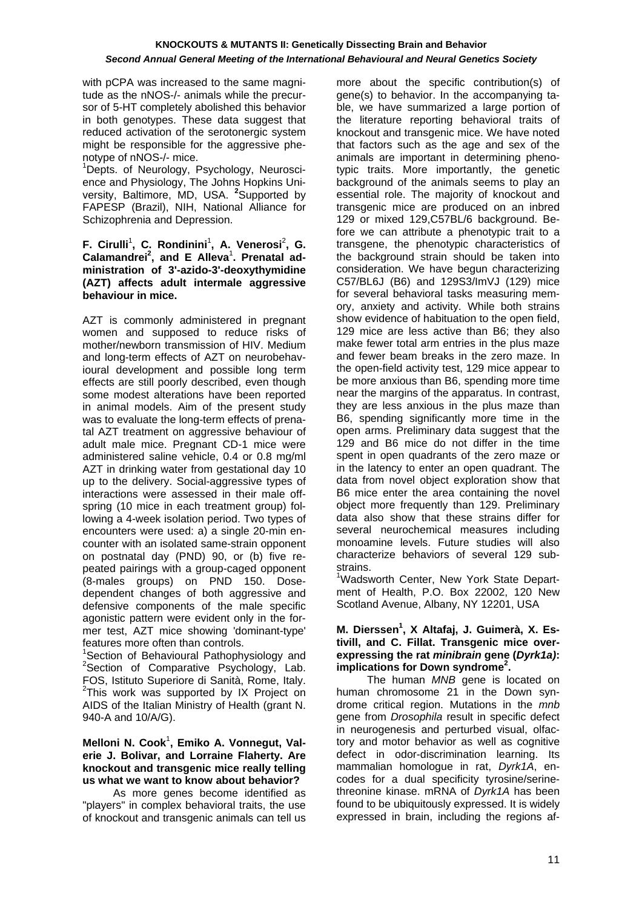with pCPA was increased to the same magnitude as the nNOS-/- animals while the precursor of 5-HT completely abolished this behavior in both genotypes. These data suggest that reduced activation of the serotonergic system might be responsible for the aggressive phenotype of nNOS-/- mice.

<sup>1</sup>Depts. of Neurology, Psychology, Neuroscience and Physiology, The Johns Hopkins University, Baltimore, MD, USA. **<sup>2</sup>** Supported by FAPESP (Brazil), NIH, National Alliance for Schizophrenia and Depression.

#### **F. Cirulli<sup>1</sup>, C. Rondinini<sup>1</sup>, A. Venerosi<sup>2</sup>, G.** Calamandrei<sup>2</sup>, and E Alleva<sup>1</sup>. Prenatal ad**ministration of 3'-azido-3'-deoxythymidine (AZT) affects adult intermale aggressive behaviour in mice.**

AZT is commonly administered in pregnant women and supposed to reduce risks of mother/newborn transmission of HIV. Medium and long-term effects of AZT on neurobehavioural development and possible long term effects are still poorly described, even though some modest alterations have been reported in animal models. Aim of the present study was to evaluate the long-term effects of prenatal AZT treatment on aggressive behaviour of adult male mice. Pregnant CD-1 mice were administered saline vehicle, 0.4 or 0.8 mg/ml AZT in drinking water from gestational day 10 up to the delivery. Social-aggressive types of interactions were assessed in their male offspring (10 mice in each treatment group) following a 4-week isolation period. Two types of encounters were used: a) a single 20-min encounter with an isolated same-strain opponent on postnatal day (PND) 90, or (b) five repeated pairings with a group-caged opponent (8-males groups) on PND 150. Dosedependent changes of both aggressive and defensive components of the male specific agonistic pattern were evident only in the former test, AZT mice showing 'dominant-type' features more often than controls.

<sup>1</sup>Section of Behavioural Pathophysiology and <sup>2</sup>Section of Comparative Payabelogy Leb  ${}^{2}$ Section of Comparative Psychology, Lab. FOS, Istituto Superiore di Sanità, Rome, Italy. <sup>2</sup>This work was supported by IX Project on AIDS of the Italian Ministry of Health (grant N. 940-A and 10/A/G).

#### Melloni N. Cook<sup>1</sup>, Emiko A. Vonnegut, Val**erie J. Bolivar, and Lorraine Flaherty. Are knockout and transgenic mice really telling us what we want to know about behavior?**

 As more genes become identified as "players" in complex behavioral traits, the use of knockout and transgenic animals can tell us more about the specific contribution(s) of gene(s) to behavior. In the accompanying table, we have summarized a large portion of the literature reporting behavioral traits of knockout and transgenic mice. We have noted that factors such as the age and sex of the animals are important in determining phenotypic traits. More importantly, the genetic background of the animals seems to play an essential role. The majority of knockout and transgenic mice are produced on an inbred 129 or mixed 129,C57BL/6 background. Before we can attribute a phenotypic trait to a transgene, the phenotypic characteristics of the background strain should be taken into consideration. We have begun characterizing C57/BL6J (B6) and 129S3/ImVJ (129) mice for several behavioral tasks measuring memory, anxiety and activity. While both strains show evidence of habituation to the open field, 129 mice are less active than B6; they also make fewer total arm entries in the plus maze and fewer beam breaks in the zero maze. In the open-field activity test, 129 mice appear to be more anxious than B6, spending more time near the margins of the apparatus. In contrast, they are less anxious in the plus maze than B6, spending significantly more time in the open arms. Preliminary data suggest that the 129 and B6 mice do not differ in the time spent in open quadrants of the zero maze or in the latency to enter an open quadrant. The data from novel object exploration show that B6 mice enter the area containing the novel object more frequently than 129. Preliminary data also show that these strains differ for several neurochemical measures including monoamine levels. Future studies will also characterize behaviors of several 129 substrains.

<sup>1</sup>Wadsworth Center, New York State Department of Health, P.O. Box 22002, 120 New Scotland Avenue, Albany, NY 12201, USA

#### M. Dierssen<sup>1</sup>, X Altafaj, J. Guimerà, X. Es**tivill, and C. Fillat. Transgenic mice overexpressing the rat** *minibrain* **gene (***Dyrk1a)***: implications for Down syndrome<sup>2</sup> .**

 The human *MNB* gene is located on human chromosome 21 in the Down syndrome critical region. Mutations in the *mnb*  gene from *Drosophila* result in specific defect in neurogenesis and perturbed visual, olfactory and motor behavior as well as cognitive defect in odor-discrimination learning. Its mammalian homologue in rat, *Dyrk1A*, encodes for a dual specificity tyrosine/serinethreonine kinase. mRNA of *Dyrk1A* has been found to be ubiquitously expressed. It is widely expressed in brain, including the regions af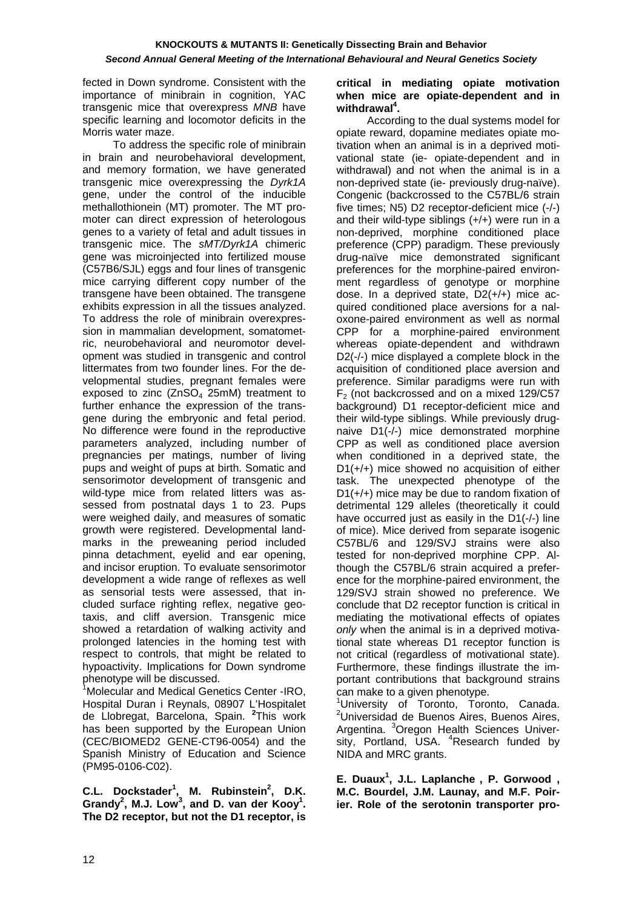fected in Down syndrome. Consistent with the importance of minibrain in cognition, YAC transgenic mice that overexpress *MNB* have specific learning and locomotor deficits in the Morris water maze.

 To address the specific role of minibrain in brain and neurobehavioral development, and memory formation, we have generated transgenic mice overexpressing the *Dyrk1A* gene, under the control of the inducible methallothionein (MT) promoter. The MT promoter can direct expression of heterologous genes to a variety of fetal and adult tissues in transgenic mice. The *sMT/Dyrk1A* chimeric gene was microinjected into fertilized mouse (C57B6/SJL) eggs and four lines of transgenic mice carrying different copy number of the transgene have been obtained. The transgene exhibits expression in all the tissues analyzed. To address the role of minibrain overexpression in mammalian development, somatometric, neurobehavioral and neuromotor development was studied in transgenic and control littermates from two founder lines. For the developmental studies, pregnant females were exposed to zinc (ZnSO<sub>4</sub> 25mM) treatment to further enhance the expression of the transgene during the embryonic and fetal period. No difference were found in the reproductive parameters analyzed, including number of pregnancies per matings, number of living pups and weight of pups at birth. Somatic and sensorimotor development of transgenic and wild-type mice from related litters was assessed from postnatal days 1 to 23. Pups were weighed daily, and measures of somatic growth were registered. Developmental landmarks in the preweaning period included pinna detachment, eyelid and ear opening, and incisor eruption. To evaluate sensorimotor development a wide range of reflexes as well as sensorial tests were assessed, that included surface righting reflex, negative geotaxis, and cliff aversion. Transgenic mice showed a retardation of walking activity and prolonged latencies in the homing test with respect to controls, that might be related to hypoactivity. Implications for Down syndrome phenotype will be discussed.

<sup>1</sup>Molecular and Medical Genetics Center -IRO, Hospital Duran i Reynals, 08907 L'Hospitalet de Llobregat, Barcelona, Spain. **<sup>2</sup>** This work has been supported by the European Union (CEC/BIOMED2 GENE-CT96-0054) and the Spanish Ministry of Education and Science (PM95-0106-C02).

**C.L. Dockstader<sup>1</sup> , M. Rubinstein<sup>2</sup> , D.K.**  Grandy<sup>2</sup>, M.J. Low<sup>3</sup>, and D. van der Kooy<sup>1</sup>. **The D2 receptor, but not the D1 receptor, is** 

# **critical in mediating opiate motivation when mice are opiate-dependent and in**  withdrawal<sup>4</sup>.

 According to the dual systems model for opiate reward, dopamine mediates opiate motivation when an animal is in a deprived motivational state (ie- opiate-dependent and in withdrawal) and not when the animal is in a non-deprived state (ie- previously drug-naïve). Congenic (backcrossed to the C57BL/6 strain five times; N5) D2 receptor-deficient mice (-/-) and their wild-type siblings (+/+) were run in a non-deprived, morphine conditioned place preference (CPP) paradigm. These previously drug-naïve mice demonstrated significant preferences for the morphine-paired environment regardless of genotype or morphine dose. In a deprived state, D2(+/+) mice acquired conditioned place aversions for a naloxone-paired environment as well as normal CPP for a morphine-paired environment whereas opiate-dependent and withdrawn D2(-/-) mice displayed a complete block in the acquisition of conditioned place aversion and preference. Similar paradigms were run with  $F<sub>2</sub>$  (not backcrossed and on a mixed 129/C57 background) D1 receptor-deficient mice and their wild-type siblings. While previously drugnaive D1(-/-) mice demonstrated morphine CPP as well as conditioned place aversion when conditioned in a deprived state, the D1(+/+) mice showed no acquisition of either task. The unexpected phenotype of the D1(+/+) mice may be due to random fixation of detrimental 129 alleles (theoretically it could have occurred just as easily in the D1(-/-) line of mice). Mice derived from separate isogenic C57BL/6 and 129/SVJ strains were also tested for non-deprived morphine CPP. Although the C57BL/6 strain acquired a preference for the morphine-paired environment, the 129/SVJ strain showed no preference. We conclude that D2 receptor function is critical in mediating the motivational effects of opiates *only* when the animal is in a deprived motivational state whereas D1 receptor function is not critical (regardless of motivational state). Furthermore, these findings illustrate the important contributions that background strains can make to a given phenotype.

1 University of Toronto, Toronto, Canada. <sup>2</sup>Universidad de Buenos Aires, Buenos Aires, Argentina. <sup>3</sup>Oregon Health Sciences University, Portland, USA. <sup>4</sup>Research funded by NIDA and MRC grants.

**E. Duaux<sup>1</sup> , J.L. Laplanche , P. Gorwood , M.C. Bourdel, J.M. Launay, and M.F. Poirier. Role of the serotonin transporter pro-**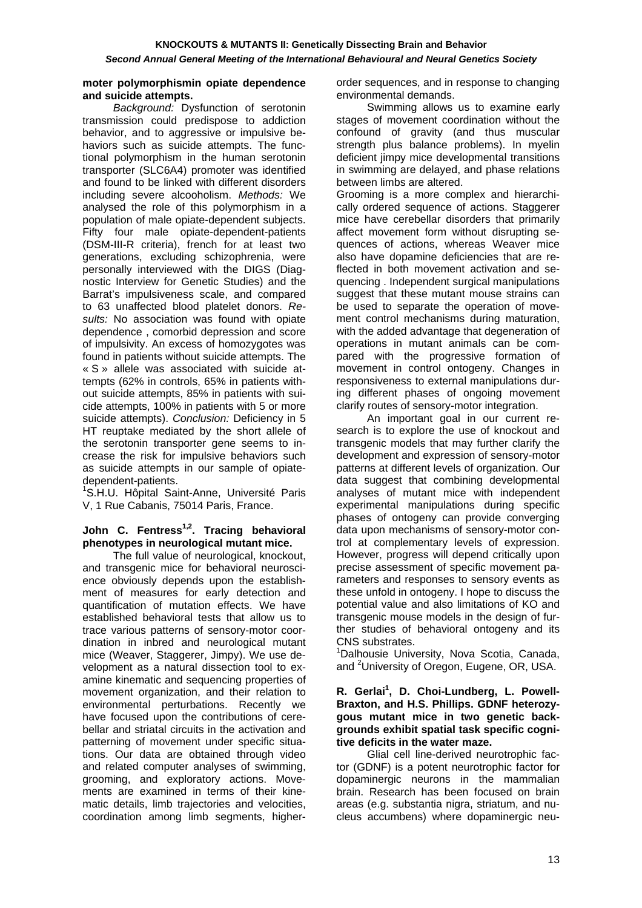#### **moter polymorphismin opiate dependence and suicide attempts.**

*Background:* Dysfunction of serotonin transmission could predispose to addiction behavior, and to aggressive or impulsive behaviors such as suicide attempts. The functional polymorphism in the human serotonin transporter (SLC6A4) promoter was identified and found to be linked with different disorders including severe alcooholism. *Methods:* We analysed the role of this polymorphism in a population of male opiate-dependent subjects. Fifty four male opiate-dependent-patients (DSM-III-R criteria), french for at least two generations, excluding schizophrenia, were personally interviewed with the DIGS (Diagnostic Interview for Genetic Studies) and the Barrat's impulsiveness scale, and compared to 63 unaffected blood platelet donors. *Results:* No association was found with opiate dependence , comorbid depression and score of impulsivity. An excess of homozygotes was found in patients without suicide attempts. The « S » allele was associated with suicide attempts (62% in controls, 65% in patients without suicide attempts, 85% in patients with suicide attempts, 100% in patients with 5 or more suicide attempts). *Conclusion:* Deficiency in 5 HT reuptake mediated by the short allele of the serotonin transporter gene seems to increase the risk for impulsive behaviors such as suicide attempts in our sample of opiatedependent-patients.

<sup>1</sup>S.H.U. Hôpital Saint-Anne, Université Paris V, 1 Rue Cabanis, 75014 Paris, France.

# **John C. Fentress1,2. Tracing behavioral phenotypes in neurological mutant mice.**

 The full value of neurological, knockout, and transgenic mice for behavioral neuroscience obviously depends upon the establishment of measures for early detection and quantification of mutation effects. We have established behavioral tests that allow us to trace various patterns of sensory-motor coordination in inbred and neurological mutant mice (Weaver, Staggerer, Jimpy). We use development as a natural dissection tool to examine kinematic and sequencing properties of movement organization, and their relation to environmental perturbations. Recently we have focused upon the contributions of cerebellar and striatal circuits in the activation and patterning of movement under specific situations. Our data are obtained through video and related computer analyses of swimming, grooming, and exploratory actions. Movements are examined in terms of their kinematic details, limb trajectories and velocities, coordination among limb segments, higherorder sequences, and in response to changing environmental demands.

 Swimming allows us to examine early stages of movement coordination without the confound of gravity (and thus muscular strength plus balance problems). In myelin deficient jimpy mice developmental transitions in swimming are delayed, and phase relations between limbs are altered.

Grooming is a more complex and hierarchically ordered sequence of actions. Staggerer mice have cerebellar disorders that primarily affect movement form without disrupting sequences of actions, whereas Weaver mice also have dopamine deficiencies that are reflected in both movement activation and sequencing . Independent surgical manipulations suggest that these mutant mouse strains can be used to separate the operation of movement control mechanisms during maturation, with the added advantage that degeneration of operations in mutant animals can be compared with the progressive formation of movement in control ontogeny. Changes in responsiveness to external manipulations during different phases of ongoing movement clarify routes of sensory-motor integration.

 An important goal in our current research is to explore the use of knockout and transgenic models that may further clarify the development and expression of sensory-motor patterns at different levels of organization. Our data suggest that combining developmental analyses of mutant mice with independent experimental manipulations during specific phases of ontogeny can provide converging data upon mechanisms of sensory-motor control at complementary levels of expression. However, progress will depend critically upon precise assessment of specific movement parameters and responses to sensory events as these unfold in ontogeny. I hope to discuss the potential value and also limitations of KO and transgenic mouse models in the design of further studies of behavioral ontogeny and its CNS substrates.

<sup>1</sup>Dalhousie University, Nova Scotia, Canada, and <sup>2</sup>University of Oregon, Eugene, OR, USA.

#### R. Gerlai<sup>1</sup>, D. Choi-Lundberg, L. Powell-**Braxton, and H.S. Phillips. GDNF heterozygous mutant mice in two genetic backgrounds exhibit spatial task specific cognitive deficits in the water maze.**

 Glial cell line-derived neurotrophic factor (GDNF) is a potent neurotrophic factor for dopaminergic neurons in the mammalian brain. Research has been focused on brain areas (e.g. substantia nigra, striatum, and nucleus accumbens) where dopaminergic neu-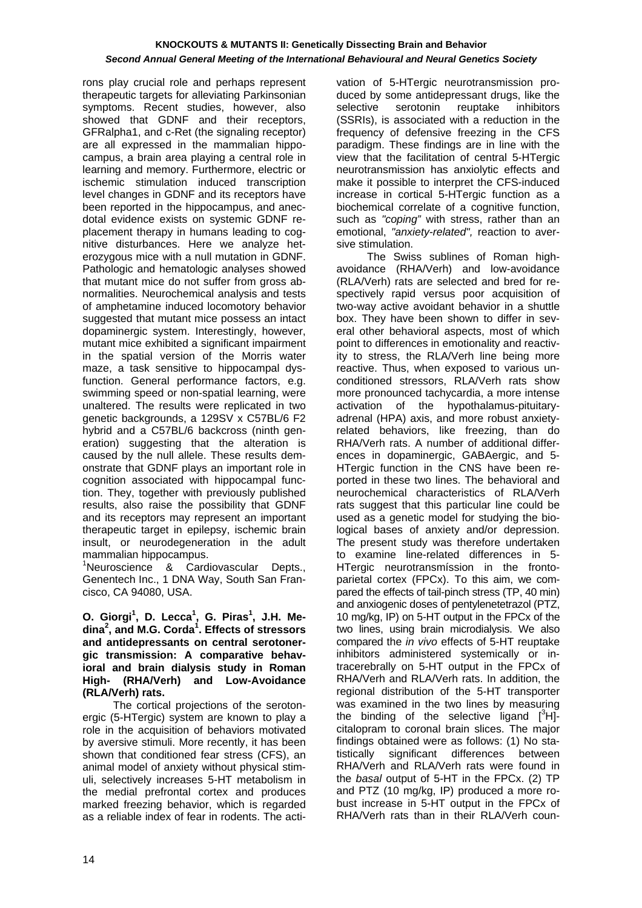rons play crucial role and perhaps represent therapeutic targets for alleviating Parkinsonian symptoms. Recent studies, however, also showed that GDNF and their receptors, GFRalpha1, and c-Ret (the signaling receptor) are all expressed in the mammalian hippocampus, a brain area playing a central role in learning and memory. Furthermore, electric or ischemic stimulation induced transcription level changes in GDNF and its receptors have been reported in the hippocampus, and anecdotal evidence exists on systemic GDNF replacement therapy in humans leading to cognitive disturbances. Here we analyze heterozygous mice with a null mutation in GDNF. Pathologic and hematologic analyses showed that mutant mice do not suffer from gross abnormalities. Neurochemical analysis and tests of amphetamine induced locomotory behavior suggested that mutant mice possess an intact dopaminergic system. Interestingly, however, mutant mice exhibited a significant impairment in the spatial version of the Morris water maze, a task sensitive to hippocampal dysfunction. General performance factors, e.g. swimming speed or non-spatial learning, were unaltered. The results were replicated in two genetic backgrounds, a 129SV x C57BL/6 F2 hybrid and a C57BL/6 backcross (ninth generation) suggesting that the alteration is caused by the null allele. These results demonstrate that GDNF plays an important role in cognition associated with hippocampal function. They, together with previously published results, also raise the possibility that GDNF and its receptors may represent an important therapeutic target in epilepsy, ischemic brain insult, or neurodegeneration in the adult mammalian hippocampus.

<sup>1</sup>Neuroscience & Cardiovascular Depts., Genentech Inc., 1 DNA Way, South San Francisco, CA 94080, USA.

**O. Giorgi1 , D. Lecca<sup>1</sup> , G. Piras<sup>1</sup> , J.H. Me**dina<sup>2</sup>, and M.G. Corda<sup>1</sup>. Effects of stressors **and antidepressants on central serotonergic transmission: A comparative behavioral and brain dialysis study in Roman High- (RHA/Verh) and Low-Avoidance (RLA/Verh) rats.** 

 The cortical projections of the serotonergic (5-HTergic) system are known to play a role in the acquisition of behaviors motivated by aversive stimuli. More recently, it has been shown that conditioned fear stress (CFS), an animal model of anxiety without physical stimuli, selectively increases 5-HT metabolism in the medial prefrontal cortex and produces marked freezing behavior, which is regarded as a reliable index of fear in rodents. The activation of 5-HTergic neurotransmission produced by some antidepressant drugs, like the selective serotonin reuptake inhibitors (SSRIs), is associated with a reduction in the frequency of defensive freezing in the CFS paradigm. These findings are in line with the view that the facilitation of central 5-HTergic neurotransmission has anxiolytic effects and make it possible to interpret the CFS-induced increase in cortical 5-HTergic function as a biochemical correlate of a cognitive function, such as *"coping"* with stress, rather than an emotional, *"anxiety-related",* reaction to aversive stimulation.

 The Swiss sublines of Roman highavoidance (RHA/Verh) and low-avoidance (RLA/Verh) rats are selected and bred for respectively rapid versus poor acquisition of two-way active avoidant behavior in a shuttle box. They have been shown to differ in several other behavioral aspects, most of which point to differences in emotionality and reactivity to stress, the RLA/Verh line being more reactive. Thus, when exposed to various unconditioned stressors, RLA/Verh rats show more pronounced tachycardia, a more intense activation of the hypothalamus-pituitaryadrenal (HPA) axis, and more robust anxietyrelated behaviors, like freezing, than do RHA/Verh rats. A number of additional differences in dopaminergic, GABAergic, and 5- HTergic function in the CNS have been reported in these two lines. The behavioral and neurochemical characteristics of RLA/Verh rats suggest that this particular line could be used as a genetic model for studying the biological bases of anxiety and/or depression. The present study was therefore undertaken to examine line-related differences in 5- HTergic neurotransmíssion in the frontoparietal cortex (FPCx). To this aim, we compared the effects of tail-pinch stress (TP, 40 min) and anxiogenic doses of pentylenetetrazol (PTZ, 10 mg/kg, IP) on 5-HT output in the FPCx of the two lines, using brain microdialysis. We also compared the *in vivo* effects of 5-HT reuptake inhibitors administered systemically or intracerebrally on 5-HT output in the FPCx of RHA/Verh and RLA/Verh rats. In addition, the regional distribution of the 5-HT transporter was examined in the two lines by measuring the binding of the selective ligand  $[{}^{3}H]$ citalopram to coronal brain slices. The major findings obtained were as follows: (1) No statistically significant differences between RHA/Verh and RLA/Verh rats were found in the *basal* output of 5-HT in the FPCx. (2) TP and PTZ (10 mg/kg, IP) produced a more robust increase in 5-HT output in the FPCx of RHA/Verh rats than in their RLA/Verh coun-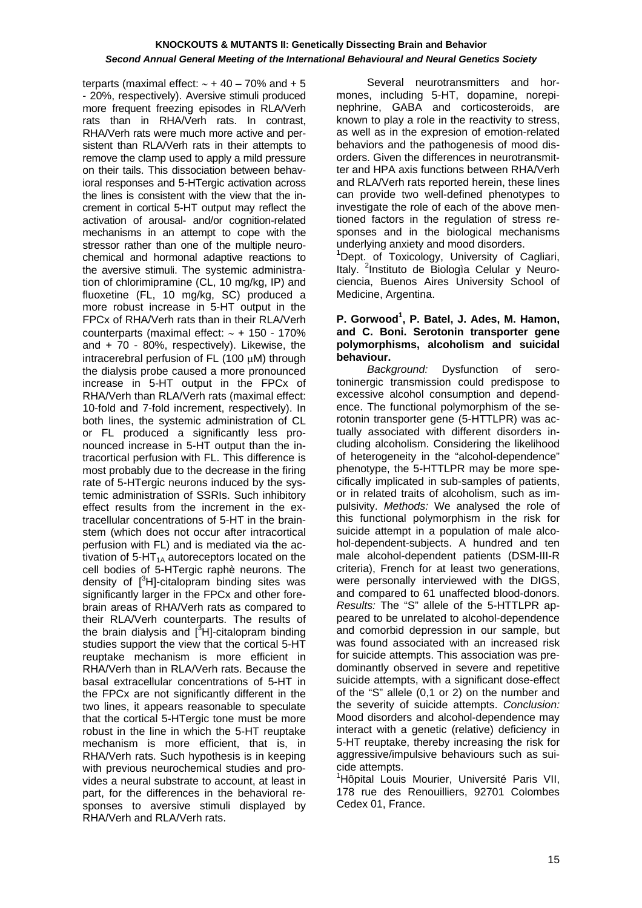terparts (maximal effect: ∼ + 40 – 70% and + 5 - 20%, respectively). Aversive stimuli produced more frequent freezing episodes in RLA/Verh rats than in RHA/Verh rats. In contrast, RHA/Verh rats were much more active and persistent than RLA/Verh rats in their attempts to remove the clamp used to apply a mild pressure on their tails. This dissociation between behavioral responses and 5-HTergic activation across the lines is consistent with the view that the increment in cortical 5-HT output may reflect the activation of arousal- and/or cognition-related mechanisms in an attempt to cope with the stressor rather than one of the multiple neurochemical and hormonal adaptive reactions to the aversive stimuli. The systemic administration of chlorimipramine (CL, 10 mg/kg, IP) and fluoxetine (FL, 10 mg/kg, SC) produced a more robust increase in 5-HT output in the FPCx of RHA/Verh rats than in their RLA/Verh counterparts (maximal effect: ∼ + 150 - 170% and + 70 - 80%, respectively). Likewise, the intracerebral perfusion of FL (100 µM) through the dialysis probe caused a more pronounced increase in 5-HT output in the FPCx of RHA/Verh than RLA/Verh rats (maximal effect: 10-fold and 7-fold increment, respectively). In both lines, the systemic administration of CL or FL produced a significantly less pronounced increase in 5-HT output than the intracortical perfusion with FL. This difference is most probably due to the decrease in the firing rate of 5-HTergic neurons induced by the systemic administration of SSRIs. Such inhibitory effect results from the increment in the extracellular concentrations of 5-HT in the brainstem (which does not occur after intracortical perfusion with FL) and is mediated via the activation of  $5-HT<sub>1A</sub>$  autoreceptors located on the cell bodies of 5-HTergic raphè neurons. The density of  $[^{3}H]$ -citalopram binding sites was significantly larger in the FPCx and other forebrain areas of RHA/Verh rats as compared to their RLA/Verh counterparts. The results of the brain dialysis and [<sup>3</sup>H]-citalopram binding studies support the view that the cortical 5-HT reuptake mechanism is more efficient in RHA/Verh than in RLA/Verh rats. Because the basal extracellular concentrations of 5-HT in the FPCx are not significantly different in the two lines, it appears reasonable to speculate that the cortical 5-HTergic tone must be more robust in the line in which the 5-HT reuptake mechanism is more efficient, that is, in RHA/Verh rats. Such hypothesis is in keeping with previous neurochemical studies and provides a neural substrate to account, at least in part, for the differences in the behavioral responses to aversive stimuli displayed by RHA/Verh and RLA/Verh rats.

 Several neurotransmitters and hormones, including 5-HT, dopamine, norepinephrine, GABA and corticosteroids, are known to play a role in the reactivity to stress, as well as in the expresion of emotion-related behaviors and the pathogenesis of mood disorders. Given the differences in neurotransmitter and HPA axis functions between RHA/Verh and RLA/Verh rats reported herein, these lines can provide two well-defined phenotypes to investigate the role of each of the above mentioned factors in the regulation of stress responses and in the biological mechanisms underlying anxiety and mood disorders.

**1** Dept. of Toxicology, University of Cagliari, Italy. <sup>2</sup>Instituto de Biologia Celular y Neurociencia, Buenos Aires University School of Medicine, Argentina.

#### P. Gorwood<sup>1</sup>, P. Batel, J. Ades, M. Hamon, **and C. Boni. Serotonin transporter gene polymorphisms, alcoholism and suicidal behaviour.**

*Background:* Dysfunction of serotoninergic transmission could predispose to excessive alcohol consumption and dependence. The functional polymorphism of the serotonin transporter gene (5-HTTLPR) was actually associated with different disorders including alcoholism. Considering the likelihood of heterogeneity in the "alcohol-dependence" phenotype, the 5-HTTLPR may be more specifically implicated in sub-samples of patients, or in related traits of alcoholism, such as impulsivity. *Methods:* We analysed the role of this functional polymorphism in the risk for suicide attempt in a population of male alcohol-dependent-subjects. A hundred and ten male alcohol-dependent patients (DSM-III-R criteria), French for at least two generations, were personally interviewed with the DIGS, and compared to 61 unaffected blood-donors. *Results:* The "S" allele of the 5-HTTLPR appeared to be unrelated to alcohol-dependence and comorbid depression in our sample, but was found associated with an increased risk for suicide attempts. This association was predominantly observed in severe and repetitive suicide attempts, with a significant dose-effect of the "S" allele (0,1 or 2) on the number and the severity of suicide attempts. *Conclusion:* Mood disorders and alcohol-dependence may interact with a genetic (relative) deficiency in 5-HT reuptake, thereby increasing the risk for aggressive/impulsive behaviours such as suicide attempts.

<sup>1</sup>Hôpital Louis Mourier, Université Paris VII, 178 rue des Renouilliers, 92701 Colombes Cedex 01, France.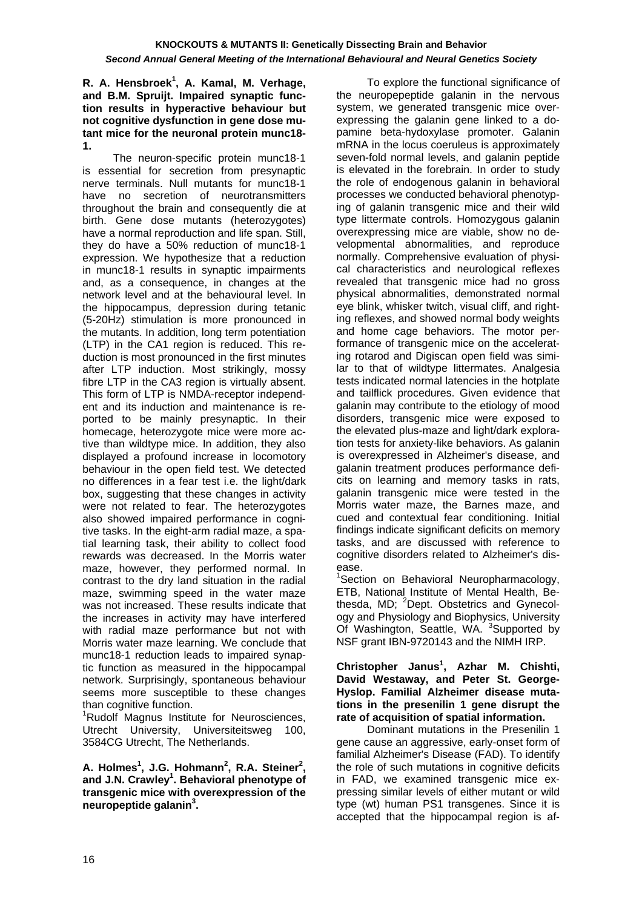**R. A. Hensbroek<sup>1</sup> , A. Kamal, M. Verhage, and B.M. Spruijt. Impaired synaptic function results in hyperactive behaviour but not cognitive dysfunction in gene dose mutant mice for the neuronal protein munc18- 1.** 

 The neuron-specific protein munc18-1 is essential for secretion from presynaptic nerve terminals. Null mutants for munc18-1 have no secretion of neurotransmitters throughout the brain and consequently die at birth. Gene dose mutants (heterozygotes) have a normal reproduction and life span. Still, they do have a 50% reduction of munc18-1 expression. We hypothesize that a reduction in munc18-1 results in synaptic impairments and, as a consequence, in changes at the network level and at the behavioural level. In the hippocampus, depression during tetanic (5-20Hz) stimulation is more pronounced in the mutants. In addition, long term potentiation (LTP) in the CA1 region is reduced. This reduction is most pronounced in the first minutes after LTP induction. Most strikingly, mossy fibre LTP in the CA3 region is virtually absent. This form of LTP is NMDA-receptor independent and its induction and maintenance is reported to be mainly presynaptic. In their homecage, heterozygote mice were more active than wildtype mice. In addition, they also displayed a profound increase in locomotory behaviour in the open field test. We detected no differences in a fear test i.e. the light/dark box, suggesting that these changes in activity were not related to fear. The heterozygotes also showed impaired performance in cognitive tasks. In the eight-arm radial maze, a spatial learning task, their ability to collect food rewards was decreased. In the Morris water maze, however, they performed normal. In contrast to the dry land situation in the radial maze, swimming speed in the water maze was not increased. These results indicate that the increases in activity may have interfered with radial maze performance but not with Morris water maze learning. We conclude that munc18-1 reduction leads to impaired synaptic function as measured in the hippocampal network. Surprisingly, spontaneous behaviour seems more susceptible to these changes than cognitive function.

<sup>1</sup>Rudolf Magnus Institute for Neurosciences, Utrecht University, Universiteitsweg 100, 3584CG Utrecht, The Netherlands.

**A. Holmes<sup>1</sup> , J.G. Hohmann<sup>2</sup> , R.A. Steiner<sup>2</sup> ,**  and J.N. Crawley<sup>1</sup>. Behavioral phenotype of **transgenic mice with overexpression of the neuropeptide galanin3 .** 

 To explore the functional significance of the neuropepeptide galanin in the nervous system, we generated transgenic mice overexpressing the galanin gene linked to a dopamine beta-hydoxylase promoter. Galanin mRNA in the locus coeruleus is approximately seven-fold normal levels, and galanin peptide is elevated in the forebrain. In order to study the role of endogenous galanin in behavioral processes we conducted behavioral phenotyping of galanin transgenic mice and their wild type littermate controls. Homozygous galanin overexpressing mice are viable, show no developmental abnormalities, and reproduce normally. Comprehensive evaluation of physical characteristics and neurological reflexes revealed that transgenic mice had no gross physical abnormalities, demonstrated normal eye blink, whisker twitch, visual cliff, and righting reflexes, and showed normal body weights and home cage behaviors. The motor performance of transgenic mice on the accelerating rotarod and Digiscan open field was similar to that of wildtype littermates. Analgesia tests indicated normal latencies in the hotplate and tailflick procedures. Given evidence that galanin may contribute to the etiology of mood disorders, transgenic mice were exposed to the elevated plus-maze and light/dark exploration tests for anxiety-like behaviors. As galanin is overexpressed in Alzheimer's disease, and galanin treatment produces performance deficits on learning and memory tasks in rats, galanin transgenic mice were tested in the Morris water maze, the Barnes maze, and cued and contextual fear conditioning. Initial findings indicate significant deficits on memory tasks, and are discussed with reference to cognitive disorders related to Alzheimer's disease.

<sup>1</sup>Section on Behavioral Neuropharmacology, ETB, National Institute of Mental Health, Bethesda, MD; <sup>2</sup>Dept. Obstetrics and Gynecology and Physiology and Biophysics, University Of Washington, Seattle, WA. <sup>3</sup>Supported by NSF grant IBN-9720143 and the NIMH IRP.

#### **Christopher Janus<sup>1</sup> , Azhar M. Chishti, David Westaway, and Peter St. George-Hyslop. Familial Alzheimer disease mutations in the presenilin 1 gene disrupt the rate of acquisition of spatial information.**

 Dominant mutations in the Presenilin 1 gene cause an aggressive, early-onset form of familial Alzheimer's Disease (FAD). To identify the role of such mutations in cognitive deficits in FAD, we examined transgenic mice expressing similar levels of either mutant or wild type (wt) human PS1 transgenes. Since it is accepted that the hippocampal region is af-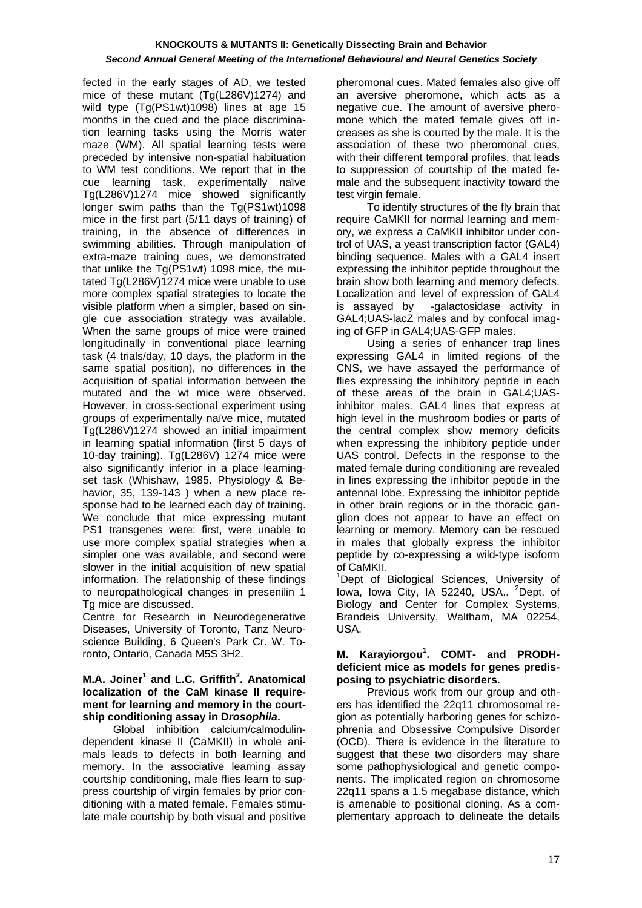fected in the early stages of AD, we tested mice of these mutant (Tg(L286V)1274) and wild type (Tg(PS1wt)1098) lines at age 15 months in the cued and the place discrimination learning tasks using the Morris water maze (WM). All spatial learning tests were preceded by intensive non-spatial habituation to WM test conditions. We report that in the cue learning task, experimentally naïve Tg(L286V)1274 mice showed significantly longer swim paths than the Tg(PS1wt)1098 mice in the first part (5/11 days of training) of training, in the absence of differences in swimming abilities. Through manipulation of extra-maze training cues, we demonstrated that unlike the Tg(PS1wt) 1098 mice, the mutated Tg(L286V)1274 mice were unable to use more complex spatial strategies to locate the visible platform when a simpler, based on single cue association strategy was available. When the same groups of mice were trained longitudinally in conventional place learning task (4 trials/day, 10 days, the platform in the same spatial position), no differences in the acquisition of spatial information between the mutated and the wt mice were observed. However, in cross-sectional experiment using groups of experimentally naïve mice, mutated Tg(L286V)1274 showed an initial impairment in learning spatial information (first 5 days of 10-day training). Tg(L286V) 1274 mice were also significantly inferior in a place learningset task (Whishaw, 1985. Physiology & Behavior, 35, 139-143 ) when a new place response had to be learned each day of training. We conclude that mice expressing mutant PS1 transgenes were: first, were unable to use more complex spatial strategies when a simpler one was available, and second were slower in the initial acquisition of new spatial information. The relationship of these findings to neuropathological changes in presenilin 1 Tg mice are discussed.

Centre for Research in Neurodegenerative Diseases, University of Toronto, Tanz Neuroscience Building, 6 Queen's Park Cr. W. Toronto, Ontario, Canada M5S 3H2.

#### **M.A. Joiner<sup>1</sup> and L.C. Griffith<sup>2</sup>. Anatomical localization of the CaM kinase II requirement for learning and memory in the courtship conditioning assay in D***rosophila***.**

 Global inhibition calcium/calmodulindependent kinase II (CaMKII) in whole animals leads to defects in both learning and memory. In the associative learning assay courtship conditioning, male flies learn to suppress courtship of virgin females by prior conditioning with a mated female. Females stimulate male courtship by both visual and positive pheromonal cues. Mated females also give off an aversive pheromone, which acts as a negative cue. The amount of aversive pheromone which the mated female gives off increases as she is courted by the male. It is the association of these two pheromonal cues, with their different temporal profiles, that leads to suppression of courtship of the mated female and the subsequent inactivity toward the test virgin female.

 To identify structures of the fly brain that require CaMKII for normal learning and memory, we express a CaMKII inhibitor under control of UAS, a yeast transcription factor (GAL4) binding sequence. Males with a GAL4 insert expressing the inhibitor peptide throughout the brain show both learning and memory defects. Localization and level of expression of GAL4 is assayed by -galactosidase activity in GAL4;UAS-lacZ males and by confocal imaging of GFP in GAL4;UAS-GFP males.

 Using a series of enhancer trap lines expressing GAL4 in limited regions of the CNS, we have assayed the performance of flies expressing the inhibitory peptide in each of these areas of the brain in GAL4;UASinhibitor males. GAL4 lines that express at high level in the mushroom bodies or parts of the central complex show memory deficits when expressing the inhibitory peptide under UAS control. Defects in the response to the mated female during conditioning are revealed in lines expressing the inhibitor peptide in the antennal lobe. Expressing the inhibitor peptide in other brain regions or in the thoracic ganglion does not appear to have an effect on learning or memory. Memory can be rescued in males that globally express the inhibitor peptide by co-expressing a wild-type isoform of CaMKII.

<sup>1</sup>Dept of Biological Sciences, University of lowa, Iowa City, IA 52240, USA.. <sup>2</sup>Dept. of Biology and Center for Complex Systems, Brandeis University, Waltham, MA 02254, USA.

#### **M. Karayiorgou<sup>1</sup> . COMT- and PRODHdeficient mice as models for genes predisposing to psychiatric disorders.**

 Previous work from our group and others has identified the 22q11 chromosomal region as potentially harboring genes for schizophrenia and Obsessive Compulsive Disorder (OCD). There is evidence in the literature to suggest that these two disorders may share some pathophysiological and genetic components. The implicated region on chromosome 22q11 spans a 1.5 megabase distance, which is amenable to positional cloning. As a complementary approach to delineate the details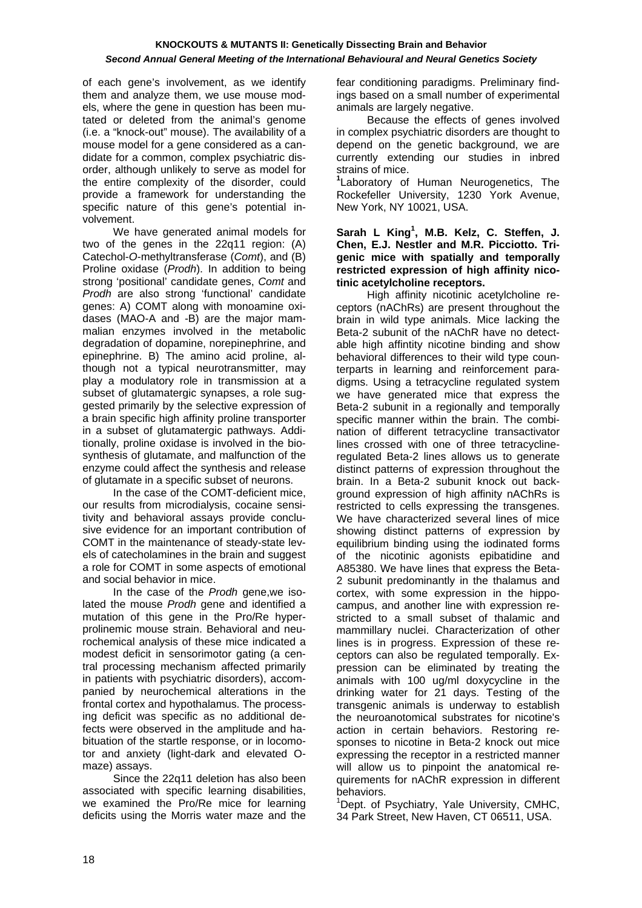of each gene's involvement, as we identify them and analyze them, we use mouse models, where the gene in question has been mutated or deleted from the animal's genome (i.e. a "knock-out" mouse). The availability of a mouse model for a gene considered as a candidate for a common, complex psychiatric disorder, although unlikely to serve as model for the entire complexity of the disorder, could provide a framework for understanding the specific nature of this gene's potential involvement.

 We have generated animal models for two of the genes in the 22q11 region: (A) Catechol-*O*-methyltransferase (*Comt*), and (B) Proline oxidase (*Prodh*). In addition to being strong 'positional' candidate genes, *Comt* and *Prodh* are also strong 'functional' candidate genes: A) COMT along with monoamine oxidases (MAO-A and -B) are the major mammalian enzymes involved in the metabolic degradation of dopamine, norepinephrine, and epinephrine. B) The amino acid proline, although not a typical neurotransmitter, may play a modulatory role in transmission at a subset of glutamatergic synapses, a role suggested primarily by the selective expression of a brain specific high affinity proline transporter in a subset of glutamatergic pathways. Additionally, proline oxidase is involved in the biosynthesis of glutamate, and malfunction of the enzyme could affect the synthesis and release of glutamate in a specific subset of neurons.

 In the case of the COMT-deficient mice, our results from microdialysis, cocaine sensitivity and behavioral assays provide conclusive evidence for an important contribution of COMT in the maintenance of steady-state levels of catecholamines in the brain and suggest a role for COMT in some aspects of emotional and social behavior in mice.

 In the case of the *Prodh* gene,we isolated the mouse *Prodh* gene and identified a mutation of this gene in the Pro/Re hyperprolinemic mouse strain. Behavioral and neurochemical analysis of these mice indicated a modest deficit in sensorimotor gating (a central processing mechanism affected primarily in patients with psychiatric disorders), accompanied by neurochemical alterations in the frontal cortex and hypothalamus. The processing deficit was specific as no additional defects were observed in the amplitude and habituation of the startle response, or in locomotor and anxiety (light-dark and elevated Omaze) assays.

 Since the 22q11 deletion has also been associated with specific learning disabilities, we examined the Pro/Re mice for learning deficits using the Morris water maze and the fear conditioning paradigms. Preliminary findings based on a small number of experimental animals are largely negative.

 Because the effects of genes involved in complex psychiatric disorders are thought to depend on the genetic background, we are currently extending our studies in inbred strains of mice.

**1** Laboratory of Human Neurogenetics, The Rockefeller University, 1230 York Avenue, New York, NY 10021, USA.

#### Sarah L King<sup>1</sup>, M.B. Kelz, C. Steffen, J. **Chen, E.J. Nestler and M.R. Picciotto. Trigenic mice with spatially and temporally restricted expression of high affinity nicotinic acetylcholine receptors.**

 High affinity nicotinic acetylcholine receptors (nAChRs) are present throughout the brain in wild type animals. Mice lacking the Beta-2 subunit of the nAChR have no detectable high affintity nicotine binding and show behavioral differences to their wild type counterparts in learning and reinforcement paradigms. Using a tetracycline regulated system we have generated mice that express the Beta-2 subunit in a regionally and temporally specific manner within the brain. The combination of different tetracycline transactivator lines crossed with one of three tetracyclineregulated Beta-2 lines allows us to generate distinct patterns of expression throughout the brain. In a Beta-2 subunit knock out background expression of high affinity nAChRs is restricted to cells expressing the transgenes. We have characterized several lines of mice showing distinct patterns of expression by equilibrium binding using the iodinated forms of the nicotinic agonists epibatidine and A85380. We have lines that express the Beta-2 subunit predominantly in the thalamus and cortex, with some expression in the hippocampus, and another line with expression restricted to a small subset of thalamic and mammillary nuclei. Characterization of other lines is in progress. Expression of these receptors can also be regulated temporally. Expression can be eliminated by treating the animals with 100 ug/ml doxycycline in the drinking water for 21 days. Testing of the transgenic animals is underway to establish the neuroanotomical substrates for nicotine's action in certain behaviors. Restoring responses to nicotine in Beta-2 knock out mice expressing the receptor in a restricted manner will allow us to pinpoint the anatomical requirements for nAChR expression in different behaviors.

<sup>1</sup>Dept. of Psychiatry, Yale University, CMHC, 34 Park Street, New Haven, CT 06511, USA.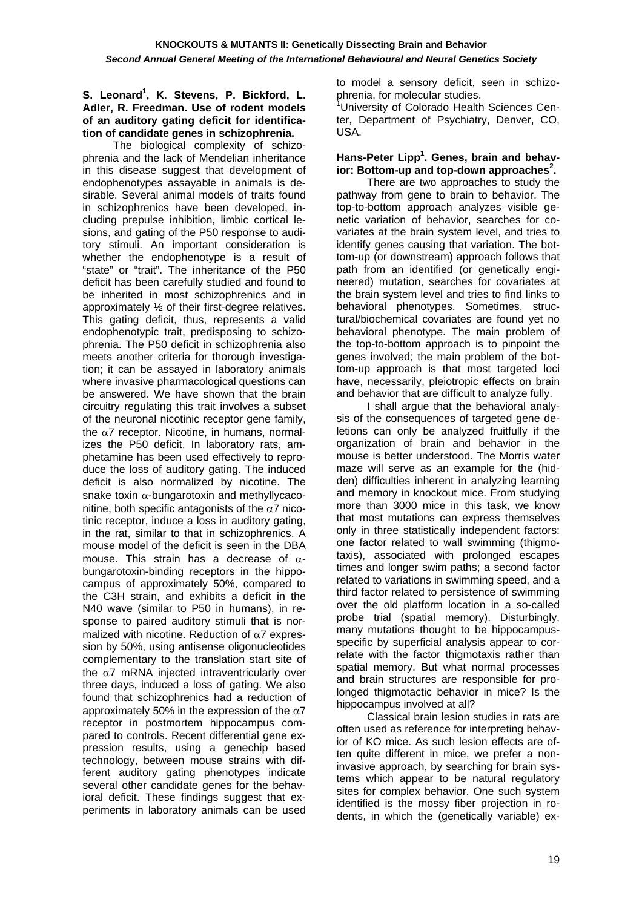#### S. Leonard<sup>1</sup>, K. Stevens, P. Bickford, L. **Adler, R. Freedman. Use of rodent models of an auditory gating deficit for identification of candidate genes in schizophrenia.**

 The biological complexity of schizophrenia and the lack of Mendelian inheritance in this disease suggest that development of endophenotypes assayable in animals is desirable. Several animal models of traits found in schizophrenics have been developed, including prepulse inhibition, limbic cortical lesions, and gating of the P50 response to auditory stimuli. An important consideration is whether the endophenotype is a result of "state" or "trait". The inheritance of the P50 deficit has been carefully studied and found to be inherited in most schizophrenics and in approximately ½ of their first-degree relatives. This gating deficit, thus, represents a valid endophenotypic trait, predisposing to schizophrenia. The P50 deficit in schizophrenia also meets another criteria for thorough investigation; it can be assayed in laboratory animals where invasive pharmacological questions can be answered. We have shown that the brain circuitry regulating this trait involves a subset of the neuronal nicotinic receptor gene family, the  $\alpha$ 7 receptor. Nicotine, in humans, normalizes the P50 deficit. In laboratory rats, amphetamine has been used effectively to reproduce the loss of auditory gating. The induced deficit is also normalized by nicotine. The snake toxin  $\alpha$ -bungarotoxin and methyllycaconitine, both specific antagonists of the  $\alpha$ 7 nicotinic receptor, induce a loss in auditory gating, in the rat, similar to that in schizophrenics. A mouse model of the deficit is seen in the DBA mouse. This strain has a decrease of  $\alpha$ bungarotoxin-binding receptors in the hippocampus of approximately 50%, compared to the C3H strain, and exhibits a deficit in the N40 wave (similar to P50 in humans), in response to paired auditory stimuli that is normalized with nicotine. Reduction of  $\alpha$ 7 expression by 50%, using antisense oligonucleotides complementary to the translation start site of the  $\alpha$ 7 mRNA injected intraventricularly over three days, induced a loss of gating. We also found that schizophrenics had a reduction of approximately 50% in the expression of the  $\alpha$ 7 receptor in postmortem hippocampus compared to controls. Recent differential gene expression results, using a genechip based technology, between mouse strains with different auditory gating phenotypes indicate several other candidate genes for the behavioral deficit. These findings suggest that experiments in laboratory animals can be used to model a sensory deficit, seen in schizophrenia, for molecular studies.

<sup>1</sup>University of Colorado Health Sciences Center, Department of Psychiatry, Denver, CO, USA.

# **Hans-Peter Lipp<sup>1</sup> . Genes, brain and behav**ior: Bottom-up and top-down approaches<sup>2</sup>.

 There are two approaches to study the pathway from gene to brain to behavior. The top-to-bottom approach analyzes visible genetic variation of behavior, searches for covariates at the brain system level, and tries to identify genes causing that variation. The bottom-up (or downstream) approach follows that path from an identified (or genetically engineered) mutation, searches for covariates at the brain system level and tries to find links to behavioral phenotypes. Sometimes, structural/biochemical covariates are found yet no behavioral phenotype. The main problem of the top-to-bottom approach is to pinpoint the genes involved; the main problem of the bottom-up approach is that most targeted loci have, necessarily, pleiotropic effects on brain and behavior that are difficult to analyze fully.

 I shall argue that the behavioral analysis of the consequences of targeted gene deletions can only be analyzed fruitfully if the organization of brain and behavior in the mouse is better understood. The Morris water maze will serve as an example for the (hidden) difficulties inherent in analyzing learning and memory in knockout mice. From studying more than 3000 mice in this task, we know that most mutations can express themselves only in three statistically independent factors: one factor related to wall swimming (thigmotaxis), associated with prolonged escapes times and longer swim paths; a second factor related to variations in swimming speed, and a third factor related to persistence of swimming over the old platform location in a so-called probe trial (spatial memory). Disturbingly, many mutations thought to be hippocampusspecific by superficial analysis appear to correlate with the factor thigmotaxis rather than spatial memory. But what normal processes and brain structures are responsible for prolonged thigmotactic behavior in mice? Is the hippocampus involved at all?

 Classical brain lesion studies in rats are often used as reference for interpreting behavior of KO mice. As such lesion effects are often quite different in mice, we prefer a noninvasive approach, by searching for brain systems which appear to be natural regulatory sites for complex behavior. One such system identified is the mossy fiber projection in rodents, in which the (genetically variable) ex-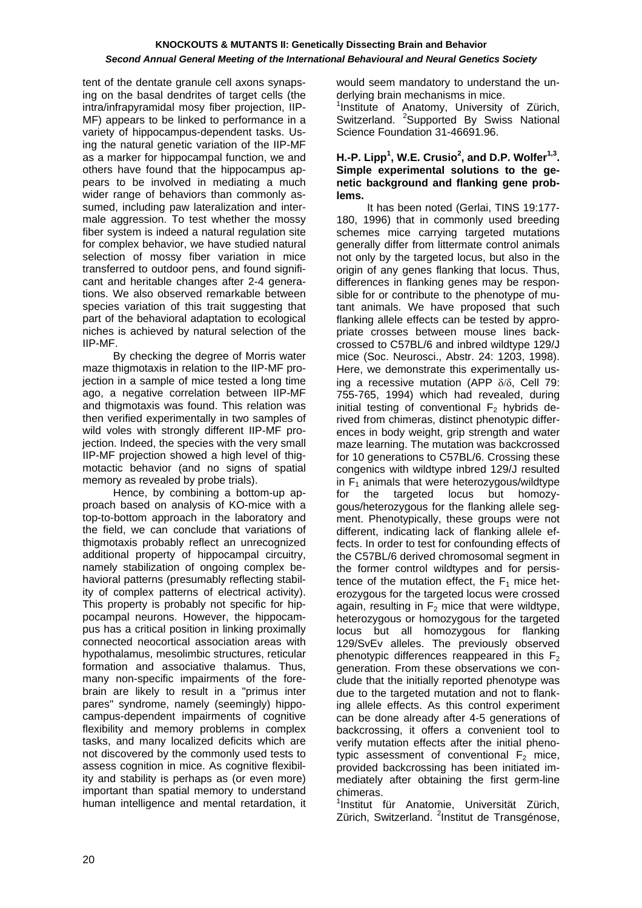tent of the dentate granule cell axons synapsing on the basal dendrites of target cells (the intra/infrapyramidal mosy fiber projection, IIP-MF) appears to be linked to performance in a variety of hippocampus-dependent tasks. Using the natural genetic variation of the IIP-MF as a marker for hippocampal function, we and others have found that the hippocampus appears to be involved in mediating a much wider range of behaviors than commonly assumed, including paw lateralization and intermale aggression. To test whether the mossy fiber system is indeed a natural regulation site for complex behavior, we have studied natural selection of mossy fiber variation in mice transferred to outdoor pens, and found significant and heritable changes after 2-4 generations. We also observed remarkable between species variation of this trait suggesting that part of the behavioral adaptation to ecological niches is achieved by natural selection of the IIP-MF.

 By checking the degree of Morris water maze thigmotaxis in relation to the IIP-MF projection in a sample of mice tested a long time ago, a negative correlation between IIP-MF and thigmotaxis was found. This relation was then verified experimentally in two samples of wild voles with strongly different IIP-MF projection. Indeed, the species with the very small IIP-MF projection showed a high level of thigmotactic behavior (and no signs of spatial memory as revealed by probe trials).

 Hence, by combining a bottom-up approach based on analysis of KO-mice with a top-to-bottom approach in the laboratory and the field, we can conclude that variations of thigmotaxis probably reflect an unrecognized additional property of hippocampal circuitry, namely stabilization of ongoing complex behavioral patterns (presumably reflecting stability of complex patterns of electrical activity). This property is probably not specific for hippocampal neurons. However, the hippocampus has a critical position in linking proximally connected neocortical association areas with hypothalamus, mesolimbic structures, reticular formation and associative thalamus. Thus, many non-specific impairments of the forebrain are likely to result in a "primus inter pares" syndrome, namely (seemingly) hippocampus-dependent impairments of cognitive flexibility and memory problems in complex tasks, and many localized deficits which are not discovered by the commonly used tests to assess cognition in mice. As cognitive flexibility and stability is perhaps as (or even more) important than spatial memory to understand human intelligence and mental retardation, it would seem mandatory to understand the underlying brain mechanisms in mice.

<sup>1</sup>Institute of Anatomy, University of Zürich, Switzerland. <sup>2</sup>Supported By Swiss National Science Foundation 31-46691.96.

#### **H.-P. Lipp<sup>1</sup> , W.E. Crusio<sup>2</sup> , and D.P. Wolfer1,3. Simple experimental solutions to the genetic background and flanking gene problems.**

 It has been noted (Gerlai, TINS 19:177- 180, 1996) that in commonly used breeding schemes mice carrying targeted mutations generally differ from littermate control animals not only by the targeted locus, but also in the origin of any genes flanking that locus. Thus, differences in flanking genes may be responsible for or contribute to the phenotype of mutant animals. We have proposed that such flanking allele effects can be tested by appropriate crosses between mouse lines backcrossed to C57BL/6 and inbred wildtype 129/J mice (Soc. Neurosci., Abstr. 24: 1203, 1998). Here, we demonstrate this experimentally using a recessive mutation (APP δ/δ, Cell 79: 755-765, 1994) which had revealed, during initial testing of conventional  $F_2$  hybrids derived from chimeras, distinct phenotypic differences in body weight, grip strength and water maze learning. The mutation was backcrossed for 10 generations to C57BL/6. Crossing these congenics with wildtype inbred 129/J resulted in  $F_1$  animals that were heterozygous/wildtype<br>for the targeted locus but homozytargeted locus but homozygous/heterozygous for the flanking allele segment. Phenotypically, these groups were not different, indicating lack of flanking allele effects. In order to test for confounding effects of the C57BL/6 derived chromosomal segment in the former control wildtypes and for persistence of the mutation effect, the  $F_1$  mice heterozygous for the targeted locus were crossed again, resulting in  $F_2$  mice that were wildtype, heterozygous or homozygous for the targeted locus but all homozygous for flanking 129/SvEv alleles. The previously observed phenotypic differences reappeared in this  $F_2$ generation. From these observations we conclude that the initially reported phenotype was due to the targeted mutation and not to flanking allele effects. As this control experiment can be done already after 4-5 generations of backcrossing, it offers a convenient tool to verify mutation effects after the initial phenotypic assessment of conventional  $F_2$  mice, provided backcrossing has been initiated immediately after obtaining the first germ-line chimeras.

<sup>1</sup>Institut für Anatomie, Universität Zürich, Zürich, Switzerland. <sup>2</sup>Institut de Transgénose,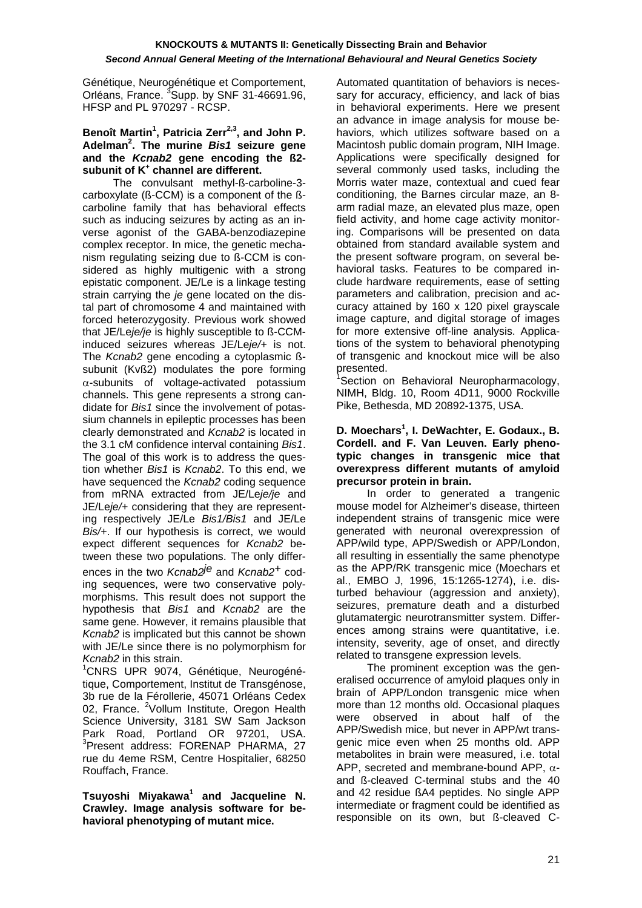Génétique, Neurogénétique et Comportement, Orléans, France. <sup>3</sup>Supp. by SNF 31-46691.96, HFSP and PL 970297 - RCSP.

#### **Benoît Martin<sup>1</sup> , Patricia Zerr2,3, and John P. Adelman2 . The murine** *Bis1* **seizure gene and the** *Kcnab2* **gene encoding the ß2 subunit of K<sup>+</sup> channel are different.**

 The convulsant methyl-ß-carboline-3 carboxylate (ß-CCM) is a component of the ßcarboline family that has behavioral effects such as inducing seizures by acting as an inverse agonist of the GABA-benzodiazepine complex receptor. In mice, the genetic mechanism regulating seizing due to ß-CCM is considered as highly multigenic with a strong epistatic component. JE/Le is a linkage testing strain carrying the *je* gene located on the distal part of chromosome 4 and maintained with forced heterozygosity. Previous work showed that JE/Le*je/je* is highly susceptible to ß-CCMinduced seizures whereas JE/Le*je/+* is not. The *Kcnab2* gene encoding a cytoplasmic ßsubunit (Kvß2) modulates the pore forming α-subunits of voltage-activated potassium channels. This gene represents a strong candidate for *Bis1* since the involvement of potassium channels in epileptic processes has been clearly demonstrated and *Kcnab2* is located in the 3.1 cM confidence interval containing *Bis1*. The goal of this work is to address the question whether *Bis1* is *Kcnab2*. To this end, we have sequenced the *Kcnab2* coding sequence from mRNA extracted from JE/Le*je/je* and JE/Le*je/+* considering that they are representing respectively JE/Le *Bis1/Bis1* and JE/Le *Bis/+*. If our hypothesis is correct, we would expect different sequences for *Kcnab2* between these two populations. The only differences in the two *Kcnab2je* and *Kcnab2+* coding sequences, were two conservative polymorphisms. This result does not support the hypothesis that *Bis1* and *Kcnab2* are the same gene. However, it remains plausible that *Kcnab2* is implicated but this cannot be shown with JE/Le since there is no polymorphism for *Kcnab2* in this strain.

<sup>1</sup>CNRS UPR 9074, Génétique, Neurogénétique, Comportement, Institut de Transgénose, 3b rue de la Férollerie, 45071 Orléans Cedex 02, France. <sup>2</sup>Vollum Institute, Oregon Health Science University, 3181 SW Sam Jackson Park Road, Portland OR 97201, USA. <sup>3</sup>Present address: FORENAP PHARMA, 27 rue du 4eme RSM, Centre Hospitalier, 68250 Rouffach, France.

**Tsuyoshi Miyakawa1 and Jacqueline N. Crawley. Image analysis software for behavioral phenotyping of mutant mice.** 

Automated quantitation of behaviors is necessary for accuracy, efficiency, and lack of bias in behavioral experiments. Here we present an advance in image analysis for mouse behaviors, which utilizes software based on a Macintosh public domain program, NIH Image. Applications were specifically designed for several commonly used tasks, including the Morris water maze, contextual and cued fear conditioning, the Barnes circular maze, an 8 arm radial maze, an elevated plus maze, open field activity, and home cage activity monitoring. Comparisons will be presented on data obtained from standard available system and the present software program, on several behavioral tasks. Features to be compared include hardware requirements, ease of setting parameters and calibration, precision and accuracy attained by 160 x 120 pixel grayscale image capture, and digital storage of images for more extensive off-line analysis. Applications of the system to behavioral phenotyping of transgenic and knockout mice will be also presented.

<sup>1</sup>Section on Behavioral Neuropharmacology, NIMH, Bldg. 10, Room 4D11, 9000 Rockville Pike, Bethesda, MD 20892-1375, USA.

#### **D. Moechars<sup>1</sup> , I. DeWachter, E. Godaux., B. Cordell. and F. Van Leuven. Early phenotypic changes in transgenic mice that overexpress different mutants of amyloid precursor protein in brain.**

 In order to generated a trangenic mouse model for Alzheimer's disease, thirteen independent strains of transgenic mice were generated with neuronal overexpression of APP/wild type, APP/Swedish or APP/London, all resulting in essentially the same phenotype as the APP/RK transgenic mice (Moechars et al., EMBO J, 1996, 15:1265-1274), i.e. disturbed behaviour (aggression and anxiety), seizures, premature death and a disturbed glutamatergic neurotransmitter system. Differences among strains were quantitative, i.e. intensity, severity, age of onset, and directly related to transgene expression levels.

The prominent exception was the generalised occurrence of amyloid plaques only in brain of APP/London transgenic mice when more than 12 months old. Occasional plaques were observed in about half of the APP/Swedish mice, but never in APP/wt transgenic mice even when 25 months old. APP metabolites in brain were measured, i.e. total APP, secreted and membrane-bound APP,  $\alpha$ and ß-cleaved C-terminal stubs and the 40 and 42 residue ßA4 peptides. No single APP intermediate or fragment could be identified as responsible on its own, but ß-cleaved C-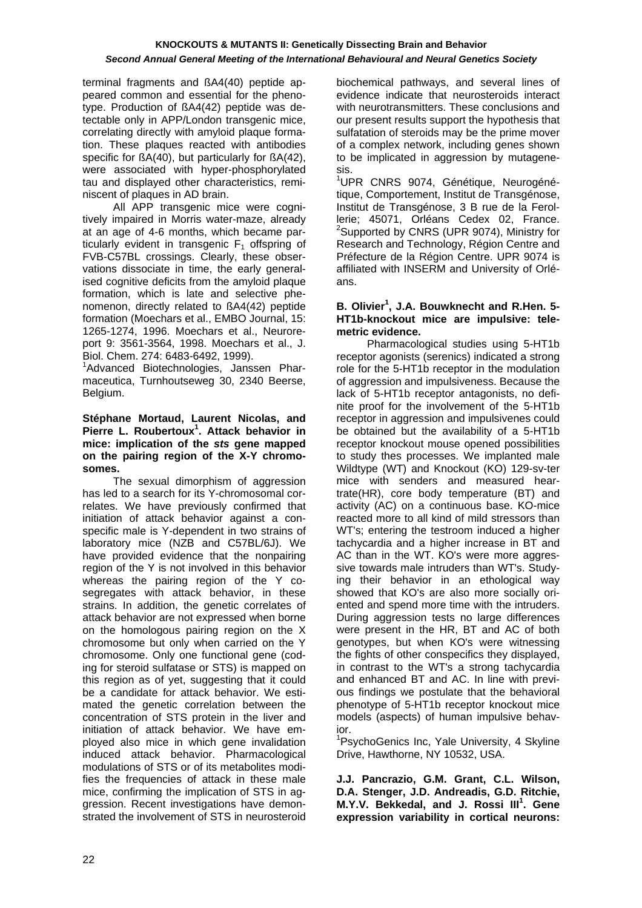terminal fragments and ßA4(40) peptide appeared common and essential for the phenotype. Production of ßA4(42) peptide was detectable only in APP/London transgenic mice, correlating directly with amyloid plaque formation. These plaques reacted with antibodies specific for ßA(40), but particularly for ßA(42), were associated with hyper-phosphorylated tau and displayed other characteristics, reminiscent of plaques in AD brain.

 All APP transgenic mice were cognitively impaired in Morris water-maze, already at an age of 4-6 months, which became particularly evident in transgenic  $F_1$  offspring of FVB-C57BL crossings. Clearly, these observations dissociate in time, the early generalised cognitive deficits from the amyloid plaque formation, which is late and selective phenomenon, directly related to ßA4(42) peptide formation (Moechars et al., EMBO Journal, 15: 1265-1274, 1996. Moechars et al., Neuroreport 9: 3561-3564, 1998. Moechars et al., J. Biol. Chem. 274: 6483-6492, 1999).

<sup>1</sup>Advanced Biotechnologies, Janssen Pharmaceutica, Turnhoutseweg 30, 2340 Beerse, Belgium.

#### **Stéphane Mortaud, Laurent Nicolas, and Pierre L. Roubertoux<sup>1</sup> . Attack behavior in mice: implication of the** *sts* **gene mapped on the pairing region of the X-Y chromosomes.**

The sexual dimorphism of aggression has led to a search for its Y-chromosomal correlates. We have previously confirmed that initiation of attack behavior against a conspecific male is Y-dependent in two strains of laboratory mice (NZB and C57BL/6J). We have provided evidence that the nonpairing region of the Y is not involved in this behavior whereas the pairing region of the Y cosegregates with attack behavior, in these strains. In addition, the genetic correlates of attack behavior are not expressed when borne on the homologous pairing region on the X chromosome but only when carried on the Y chromosome. Only one functional gene (coding for steroid sulfatase or STS) is mapped on this region as of yet, suggesting that it could be a candidate for attack behavior. We estimated the genetic correlation between the concentration of STS protein in the liver and initiation of attack behavior. We have employed also mice in which gene invalidation induced attack behavior. Pharmacological modulations of STS or of its metabolites modifies the frequencies of attack in these male mice, confirming the implication of STS in aggression. Recent investigations have demonstrated the involvement of STS in neurosteroid

biochemical pathways, and several lines of evidence indicate that neurosteroids interact with neurotransmitters. These conclusions and our present results support the hypothesis that sulfatation of steroids may be the prime mover of a complex network, including genes shown to be implicated in aggression by mutagenesis.

<sup>1</sup>UPR CNRS 9074, Génétique, Neurogénétique, Comportement, Institut de Transgénose, Institut de Transgénose, 3 B rue de la Ferollerie; 45071, Orléans Cedex 02, France. <sup>2</sup>Supported by CNRS (UPR 9074), Ministry for Research and Technology, Région Centre and Préfecture de la Région Centre. UPR 9074 is affiliated with INSERM and University of Orléans.

# **B. Olivier<sup>1</sup> , J.A. Bouwknecht and R.Hen. 5- HT1b-knockout mice are impulsive: telemetric evidence.**

 Pharmacological studies using 5-HT1b receptor agonists (serenics) indicated a strong role for the 5-HT1b receptor in the modulation of aggression and impulsiveness. Because the lack of 5-HT1b receptor antagonists, no definite proof for the involvement of the 5-HT1b receptor in aggression and impulsivenes could be obtained but the availability of a 5-HT1b receptor knockout mouse opened possibilities to study thes processes. We implanted male Wildtype (WT) and Knockout (KO) 129-sv-ter mice with senders and measured heartrate(HR), core body temperature (BT) and activity (AC) on a continuous base. KO-mice reacted more to all kind of mild stressors than WT's; entering the testroom induced a higher tachycardia and a higher increase in BT and AC than in the WT. KO's were more aggressive towards male intruders than WT's. Studying their behavior in an ethological way showed that KO's are also more socially oriented and spend more time with the intruders. During aggression tests no large differences were present in the HR, BT and AC of both genotypes, but when KO's were witnessing the fights of other conspecifics they displayed, in contrast to the WT's a strong tachycardia and enhanced BT and AC. In line with previous findings we postulate that the behavioral phenotype of 5-HT1b receptor knockout mice models (aspects) of human impulsive behavior.

<sup>1</sup>PsychoGenics Inc, Yale University, 4 Skyline Drive, Hawthorne, NY 10532, USA.

**J.J. Pancrazio, G.M. Grant, C.L. Wilson, D.A. Stenger, J.D. Andreadis, G.D. Ritchie, M.Y.V. Bekkedal, and J. Rossi III<sup>1</sup>. Gene expression variability in cortical neurons:**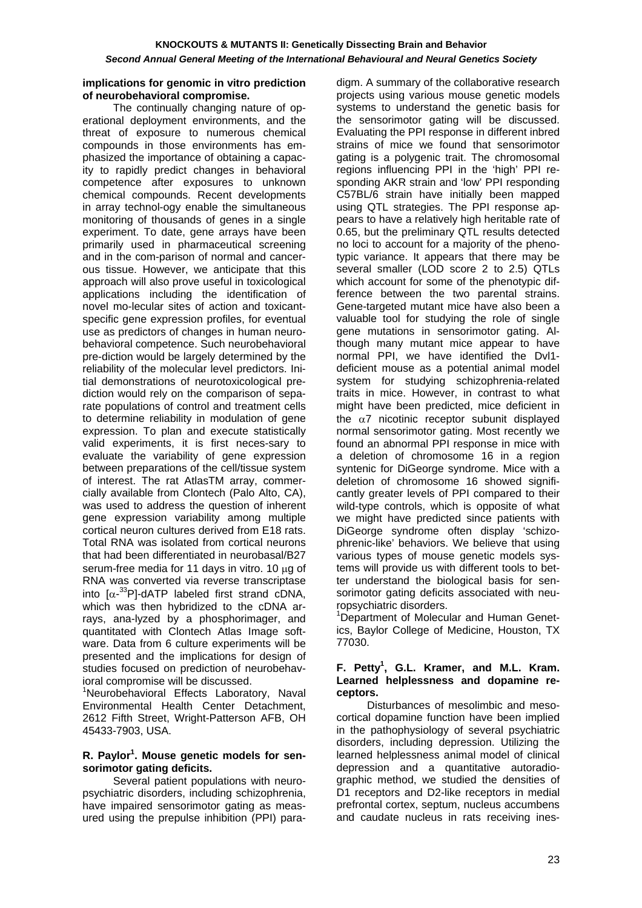#### **implications for genomic in vitro prediction of neurobehavioral compromise.**

 The continually changing nature of operational deployment environments, and the threat of exposure to numerous chemical compounds in those environments has emphasized the importance of obtaining a capacity to rapidly predict changes in behavioral competence after exposures to unknown chemical compounds. Recent developments in array technol-ogy enable the simultaneous monitoring of thousands of genes in a single experiment. To date, gene arrays have been primarily used in pharmaceutical screening and in the com-parison of normal and cancerous tissue. However, we anticipate that this approach will also prove useful in toxicological applications including the identification of novel mo-lecular sites of action and toxicantspecific gene expression profiles, for eventual use as predictors of changes in human neurobehavioral competence. Such neurobehavioral pre-diction would be largely determined by the reliability of the molecular level predictors. Initial demonstrations of neurotoxicological prediction would rely on the comparison of separate populations of control and treatment cells to determine reliability in modulation of gene expression. To plan and execute statistically valid experiments, it is first neces-sary to evaluate the variability of gene expression between preparations of the cell/tissue system of interest. The rat AtlasTM array, commercially available from Clontech (Palo Alto, CA), was used to address the question of inherent gene expression variability among multiple cortical neuron cultures derived from E18 rats. Total RNA was isolated from cortical neurons that had been differentiated in neurobasal/B27 serum-free media for 11 days in vitro. 10 µg of RNA was converted via reverse transcriptase into  $[\alpha^{33}P]$ -dATP labeled first strand cDNA, which was then hybridized to the cDNA arrays, ana-lyzed by a phosphorimager, and quantitated with Clontech Atlas Image software. Data from 6 culture experiments will be presented and the implications for design of studies focused on prediction of neurobehavioral compromise will be discussed.

<sup>1</sup>Neurobehavioral Effects Laboratory, Naval Environmental Health Center Detachment, 2612 Fifth Street, Wright-Patterson AFB, OH 45433-7903, USA.

#### **R. Paylor1 . Mouse genetic models for sensorimotor gating deficits.**

 Several patient populations with neuropsychiatric disorders, including schizophrenia, have impaired sensorimotor gating as measured using the prepulse inhibition (PPI) paradigm. A summary of the collaborative research projects using various mouse genetic models systems to understand the genetic basis for the sensorimotor gating will be discussed. Evaluating the PPI response in different inbred strains of mice we found that sensorimotor gating is a polygenic trait. The chromosomal regions influencing PPI in the 'high' PPI responding AKR strain and 'low' PPI responding C57BL/6 strain have initially been mapped using QTL strategies. The PPI response appears to have a relatively high heritable rate of 0.65, but the preliminary QTL results detected no loci to account for a majority of the phenotypic variance. It appears that there may be several smaller (LOD score 2 to 2.5) QTLs which account for some of the phenotypic difference between the two parental strains. Gene-targeted mutant mice have also been a valuable tool for studying the role of single gene mutations in sensorimotor gating. Although many mutant mice appear to have normal PPI, we have identified the Dvl1 deficient mouse as a potential animal model system for studying schizophrenia-related traits in mice. However, in contrast to what might have been predicted, mice deficient in the  $\alpha$ 7 nicotinic receptor subunit displayed normal sensorimotor gating. Most recently we found an abnormal PPI response in mice with a deletion of chromosome 16 in a region syntenic for DiGeorge syndrome. Mice with a deletion of chromosome 16 showed significantly greater levels of PPI compared to their wild-type controls, which is opposite of what we might have predicted since patients with DiGeorge syndrome often display 'schizophrenic-like' behaviors. We believe that using various types of mouse genetic models systems will provide us with different tools to better understand the biological basis for sensorimotor gating deficits associated with neuropsychiatric disorders.

<sup>1</sup>Department of Molecular and Human Genetics, Baylor College of Medicine, Houston, TX 77030.

#### **F. Petty1 , G.L. Kramer, and M.L. Kram. Learned helplessness and dopamine receptors.**

 Disturbances of mesolimbic and mesocortical dopamine function have been implied in the pathophysiology of several psychiatric disorders, including depression. Utilizing the learned helplessness animal model of clinical depression and a quantitative autoradiographic method, we studied the densities of D1 receptors and D2-like receptors in medial prefrontal cortex, septum, nucleus accumbens and caudate nucleus in rats receiving ines-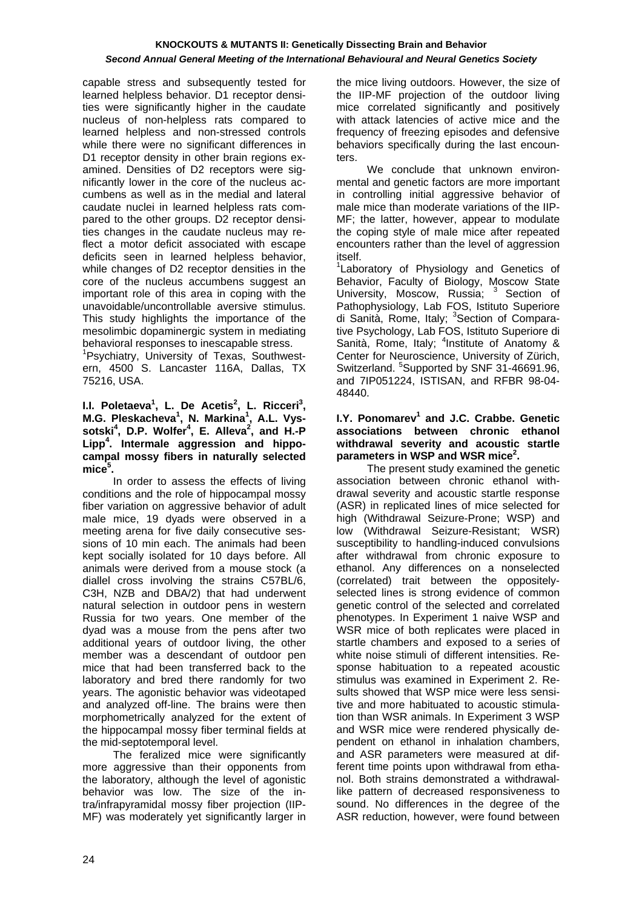capable stress and subsequently tested for learned helpless behavior. D1 receptor densities were significantly higher in the caudate nucleus of non-helpless rats compared to learned helpless and non-stressed controls while there were no significant differences in D1 receptor density in other brain regions examined. Densities of D2 receptors were significantly lower in the core of the nucleus accumbens as well as in the medial and lateral caudate nuclei in learned helpless rats compared to the other groups. D2 receptor densities changes in the caudate nucleus may reflect a motor deficit associated with escape deficits seen in learned helpless behavior, while changes of D2 receptor densities in the core of the nucleus accumbens suggest an important role of this area in coping with the unavoidable/uncontrollable aversive stimulus. This study highlights the importance of the mesolimbic dopaminergic system in mediating behavioral responses to inescapable stress.

1 Psychiatry, University of Texas, Southwestern, 4500 S. Lancaster 116A, Dallas, TX 75216, USA.

#### **I.I. Poletaeva<sup>1</sup>, L. De Acetis<sup>2</sup>, L. Ricceri<sup>3</sup>, M.G. Pleskacheva<sup>1</sup>, N. Markina<sup>1</sup>, A.L. Vyssotski4 , D.P. Wolfer<sup>4</sup> , E. Alleva<sup>2</sup> , and H.-P Lipp4 . Intermale aggression and hippocampal mossy fibers in naturally selected**   $mice<sup>5</sup>$ .

 In order to assess the effects of living conditions and the role of hippocampal mossy fiber variation on aggressive behavior of adult male mice, 19 dyads were observed in a meeting arena for five daily consecutive sessions of 10 min each. The animals had been kept socially isolated for 10 days before. All animals were derived from a mouse stock (a diallel cross involving the strains C57BL/6, C3H, NZB and DBA/2) that had underwent natural selection in outdoor pens in western Russia for two years. One member of the dyad was a mouse from the pens after two additional years of outdoor living, the other member was a descendant of outdoor pen mice that had been transferred back to the laboratory and bred there randomly for two years. The agonistic behavior was videotaped and analyzed off-line. The brains were then morphometrically analyzed for the extent of the hippocampal mossy fiber terminal fields at the mid-septotemporal level.

 The feralized mice were significantly more aggressive than their opponents from the laboratory, although the level of agonistic behavior was low. The size of the intra/infrapyramidal mossy fiber projection (IIP-MF) was moderately yet significantly larger in the mice living outdoors. However, the size of the IIP-MF projection of the outdoor living mice correlated significantly and positively with attack latencies of active mice and the frequency of freezing episodes and defensive behaviors specifically during the last encounters.

 We conclude that unknown environmental and genetic factors are more important in controlling initial aggressive behavior of male mice than moderate variations of the IIP-MF; the latter, however, appear to modulate the coping style of male mice after repeated encounters rather than the level of aggression itself.

<sup>1</sup> Laboratory of Physiology and Genetics of Behavior, Faculty of Biology, Moscow State University, Moscow, Russia; <sup>3</sup> Section of Pathophysiology, Lab FOS, Istituto Superiore di Sanità, Rome, Italy; <sup>3</sup>Section of Comparative Psychology, Lab FOS, Istituto Superiore di Sanità, Rome, Italy; <sup>4</sup>Institute of Anatomy & Center for Neuroscience, University of Zürich, Switzerland. <sup>5</sup>Supported by SNF 31-46691.96, and 7IP051224, ISTISAN, and RFBR 98-04- 48440.

#### **I.Y. Ponomarev<sup>1</sup> and J.C. Crabbe. Genetic associations between chronic ethanol withdrawal severity and acoustic startle parameters in WSP and WSR mice<sup>2</sup> .**

 The present study examined the genetic association between chronic ethanol withdrawal severity and acoustic startle response (ASR) in replicated lines of mice selected for high (Withdrawal Seizure-Prone; WSP) and low (Withdrawal Seizure-Resistant; WSR) susceptibility to handling-induced convulsions after withdrawal from chronic exposure to ethanol. Any differences on a nonselected (correlated) trait between the oppositelyselected lines is strong evidence of common genetic control of the selected and correlated phenotypes. In Experiment 1 naive WSP and WSR mice of both replicates were placed in startle chambers and exposed to a series of white noise stimuli of different intensities. Response habituation to a repeated acoustic stimulus was examined in Experiment 2. Results showed that WSP mice were less sensitive and more habituated to acoustic stimulation than WSR animals. In Experiment 3 WSP and WSR mice were rendered physically dependent on ethanol in inhalation chambers, and ASR parameters were measured at different time points upon withdrawal from ethanol. Both strains demonstrated a withdrawallike pattern of decreased responsiveness to sound. No differences in the degree of the ASR reduction, however, were found between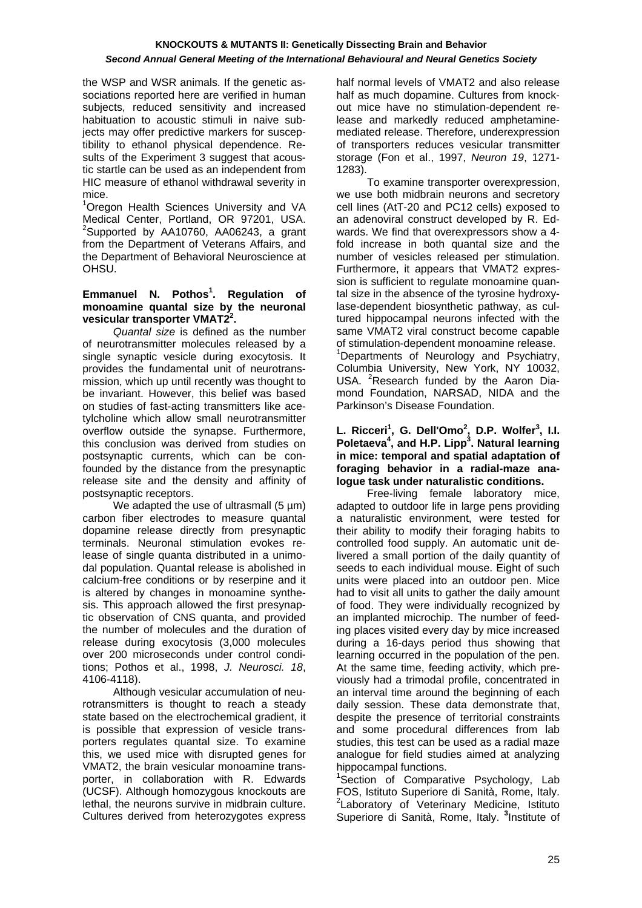the WSP and WSR animals. If the genetic associations reported here are verified in human subjects, reduced sensitivity and increased habituation to acoustic stimuli in naive subjects may offer predictive markers for susceptibility to ethanol physical dependence. Results of the Experiment 3 suggest that acoustic startle can be used as an independent from HIC measure of ethanol withdrawal severity in mice.

<sup>1</sup>Oregon Health Sciences University and VA Medical Center, Portland, OR 97201, USA.  $2$ Supported by AA10760, AA06243, a grant from the Department of Veterans Affairs, and the Department of Behavioral Neuroscience at OHSU.

#### **Emmanuel N. Pothos<sup>1</sup> . Regulation of monoamine quantal size by the neuronal vesicular transporter VMAT2<sup>2</sup> .**

 *Quantal size* is defined as the number of neurotransmitter molecules released by a single synaptic vesicle during exocytosis. It provides the fundamental unit of neurotransmission, which up until recently was thought to be invariant. However, this belief was based on studies of fast-acting transmitters like acetylcholine which allow small neurotransmitter overflow outside the synapse. Furthermore, this conclusion was derived from studies on postsynaptic currents, which can be confounded by the distance from the presynaptic release site and the density and affinity of postsynaptic receptors.

We adapted the use of ultrasmall (5 um) carbon fiber electrodes to measure quantal dopamine release directly from presynaptic terminals. Neuronal stimulation evokes release of single quanta distributed in a unimodal population. Quantal release is abolished in calcium-free conditions or by reserpine and it is altered by changes in monoamine synthesis. This approach allowed the first presynaptic observation of CNS quanta, and provided the number of molecules and the duration of release during exocytosis (3,000 molecules over 200 microseconds under control conditions; Pothos et al., 1998, *J. Neurosci. 18*, 4106-4118).

 Although vesicular accumulation of neurotransmitters is thought to reach a steady state based on the electrochemical gradient, it is possible that expression of vesicle transporters regulates quantal size. To examine this, we used mice with disrupted genes for VMAT2, the brain vesicular monoamine transporter, in collaboration with R. Edwards (UCSF). Although homozygous knockouts are lethal, the neurons survive in midbrain culture. Cultures derived from heterozygotes express

half normal levels of VMAT2 and also release half as much dopamine. Cultures from knockout mice have no stimulation-dependent release and markedly reduced amphetaminemediated release. Therefore, underexpression of transporters reduces vesicular transmitter storage (Fon et al., 1997, *Neuron 19*, 1271- 1283).

 To examine transporter overexpression, we use both midbrain neurons and secretory cell lines (AtT-20 and PC12 cells) exposed to an adenoviral construct developed by R. Edwards. We find that overexpressors show a 4 fold increase in both quantal size and the number of vesicles released per stimulation. Furthermore, it appears that VMAT2 expression is sufficient to regulate monoamine quantal size in the absence of the tyrosine hydroxylase-dependent biosynthetic pathway, as cultured hippocampal neurons infected with the same VMAT2 viral construct become capable of stimulation-dependent monoamine release. <sup>1</sup>Departments of Neurology and Psychiatry, Columbia University, New York, NY 10032, USA. <sup>2</sup>Research funded by the Aaron Diamond Foundation, NARSAD, NIDA and the Parkinson's Disease Foundation.

#### L. Ricceri<sup>1</sup>, G. Dell'Omo<sup>2</sup>, D.P. Wolfer<sup>3</sup>, I.I. **Poletaeva<sup>4</sup>**, and H.P. Lipp<sup>3</sup>. Natural learning **in mice: temporal and spatial adaptation of foraging behavior in a radial-maze analogue task under naturalistic conditions.**

 Free-living female laboratory mice, adapted to outdoor life in large pens providing a naturalistic environment, were tested for their ability to modify their foraging habits to controlled food supply. An automatic unit delivered a small portion of the daily quantity of seeds to each individual mouse. Eight of such units were placed into an outdoor pen. Mice had to visit all units to gather the daily amount of food. They were individually recognized by an implanted microchip. The number of feeding places visited every day by mice increased during a 16-days period thus showing that learning occurred in the population of the pen. At the same time, feeding activity, which previously had a trimodal profile, concentrated in an interval time around the beginning of each daily session. These data demonstrate that, despite the presence of territorial constraints and some procedural differences from lab studies, this test can be used as a radial maze analogue for field studies aimed at analyzing hippocampal functions.

**1** Section of Comparative Psychology, Lab FOS, Istituto Superiore di Sanità, Rome, Italy. <sup>2</sup> Laboratory of Veterinary Medicine, Istituto Superiore di Sanità, Rome, Italy. **<sup>3</sup>** Institute of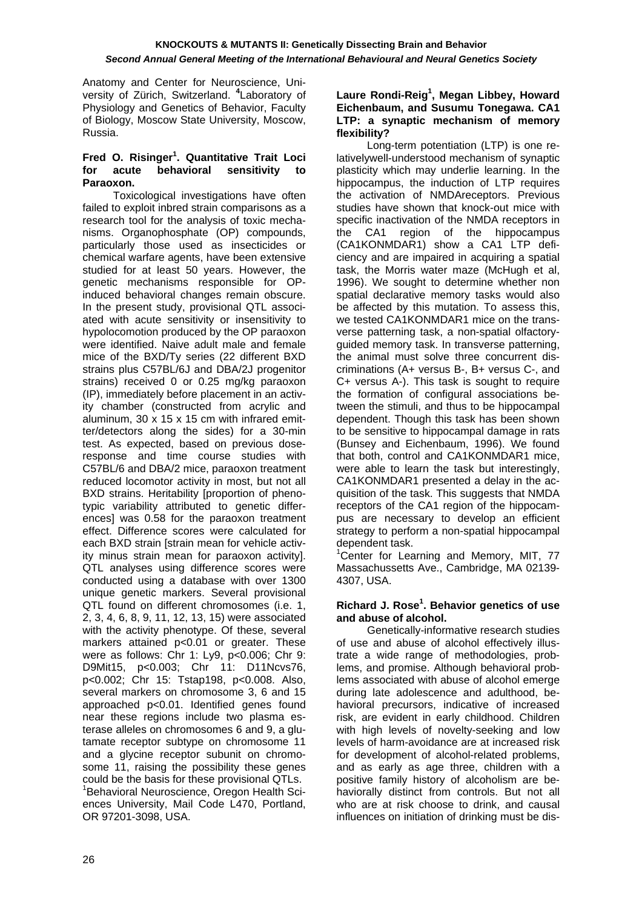Anatomy and Center for Neuroscience, University of Zürich, Switzerland. **<sup>4</sup>** Laboratory of Physiology and Genetics of Behavior, Faculty of Biology, Moscow State University, Moscow, Russia.

#### Fred O. Risinger<sup>1</sup>. Quantitative Trait Loci **for acute behavioral sensitivity to Paraoxon.**

 Toxicological investigations have often failed to exploit inbred strain comparisons as a research tool for the analysis of toxic mechanisms. Organophosphate (OP) compounds, particularly those used as insecticides or chemical warfare agents, have been extensive studied for at least 50 years. However, the genetic mechanisms responsible for OPinduced behavioral changes remain obscure. In the present study, provisional QTL associated with acute sensitivity or insensitivity to hypolocomotion produced by the OP paraoxon were identified. Naive adult male and female mice of the BXD/Ty series (22 different BXD strains plus C57BL/6J and DBA/2J progenitor strains) received 0 or 0.25 mg/kg paraoxon (IP), immediately before placement in an activity chamber (constructed from acrylic and aluminum, 30 x 15 x 15 cm with infrared emitter/detectors along the sides) for a 30-min test. As expected, based on previous doseresponse and time course studies with C57BL/6 and DBA/2 mice, paraoxon treatment reduced locomotor activity in most, but not all BXD strains. Heritability [proportion of phenotypic variability attributed to genetic differences] was 0.58 for the paraoxon treatment effect. Difference scores were calculated for each BXD strain [strain mean for vehicle activity minus strain mean for paraoxon activity]. QTL analyses using difference scores were conducted using a database with over 1300 unique genetic markers. Several provisional QTL found on different chromosomes (i.e. 1, 2, 3, 4, 6, 8, 9, 11, 12, 13, 15) were associated with the activity phenotype. Of these, several markers attained p<0.01 or greater. These were as follows: Chr 1: Ly9, p<0.006; Chr 9: D9Mit15, p<0.003; Chr 11: D11Ncvs76, p<0.002; Chr 15: Tstap198, p<0.008. Also, several markers on chromosome 3, 6 and 15 approached p<0.01. Identified genes found near these regions include two plasma esterase alleles on chromosomes 6 and 9, a glutamate receptor subtype on chromosome 11 and a glycine receptor subunit on chromosome 11, raising the possibility these genes could be the basis for these provisional QTLs. <sup>1</sup>Behavioral Neuroscience, Oregon Health Sciences University, Mail Code L470, Portland, OR 97201-3098, USA.

# **Laure Rondi-Reig1 , Megan Libbey, Howard Eichenbaum, and Susumu Tonegawa. CA1 LTP: a synaptic mechanism of memory flexibility?**

 Long-term potentiation (LTP) is one relativelywell-understood mechanism of synaptic plasticity which may underlie learning. In the hippocampus, the induction of LTP requires the activation of NMDAreceptors. Previous studies have shown that knock-out mice with specific inactivation of the NMDA receptors in the CA1 region of the hippocampus (CA1KONMDAR1) show a CA1 LTP deficiency and are impaired in acquiring a spatial task, the Morris water maze (McHugh et al, 1996). We sought to determine whether non spatial declarative memory tasks would also be affected by this mutation. To assess this, we tested CA1KONMDAR1 mice on the transverse patterning task, a non-spatial olfactoryguided memory task. In transverse patterning, the animal must solve three concurrent discriminations (A+ versus B-, B+ versus C-, and C+ versus A-). This task is sought to require the formation of configural associations between the stimuli, and thus to be hippocampal dependent. Though this task has been shown to be sensitive to hippocampal damage in rats (Bunsey and Eichenbaum, 1996). We found that both, control and CA1KONMDAR1 mice, were able to learn the task but interestingly, CA1KONMDAR1 presented a delay in the acquisition of the task. This suggests that NMDA receptors of the CA1 region of the hippocampus are necessary to develop an efficient strategy to perform a non-spatial hippocampal dependent task.

<sup>1</sup>Center for Learning and Memory, MIT, 77 Massachussetts Ave., Cambridge, MA 02139- 4307, USA.

#### **Richard J. Rose<sup>1</sup> . Behavior genetics of use and abuse of alcohol.**

 Genetically-informative research studies of use and abuse of alcohol effectively illustrate a wide range of methodologies, problems, and promise. Although behavioral problems associated with abuse of alcohol emerge during late adolescence and adulthood, behavioral precursors, indicative of increased risk, are evident in early childhood. Children with high levels of novelty-seeking and low levels of harm-avoidance are at increased risk for development of alcohol-related problems, and as early as age three, children with a positive family history of alcoholism are behaviorally distinct from controls. But not all who are at risk choose to drink, and causal influences on initiation of drinking must be dis-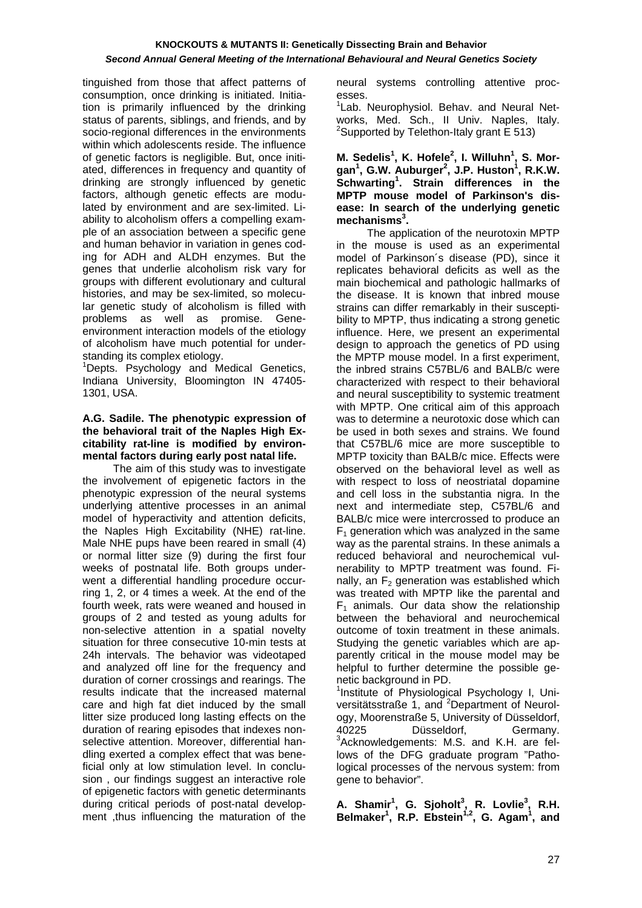tinguished from those that affect patterns of consumption, once drinking is initiated. Initiation is primarily influenced by the drinking status of parents, siblings, and friends, and by socio-regional differences in the environments within which adolescents reside. The influence of genetic factors is negligible. But, once initiated, differences in frequency and quantity of drinking are strongly influenced by genetic factors, although genetic effects are modulated by environment and are sex-limited. Liability to alcoholism offers a compelling example of an association between a specific gene and human behavior in variation in genes coding for ADH and ALDH enzymes. But the genes that underlie alcoholism risk vary for groups with different evolutionary and cultural histories, and may be sex-limited, so molecular genetic study of alcoholism is filled with problems as well as promise. Geneenvironment interaction models of the etiology of alcoholism have much potential for understanding its complex etiology.

<sup>1</sup>Depts. Psychology and Medical Genetics, Indiana University, Bloomington IN 47405- 1301, USA.

#### **A.G. Sadile. The phenotypic expression of the behavioral trait of the Naples High Excitability rat-line is modified by environmental factors during early post natal life.**

 The aim of this study was to investigate the involvement of epigenetic factors in the phenotypic expression of the neural systems underlying attentive processes in an animal model of hyperactivity and attention deficits, the Naples High Excitability (NHE) rat-line. Male NHE pups have been reared in small (4) or normal litter size (9) during the first four weeks of postnatal life. Both groups underwent a differential handling procedure occurring 1, 2, or 4 times a week. At the end of the fourth week, rats were weaned and housed in groups of 2 and tested as young adults for non-selective attention in a spatial novelty situation for three consecutive 10-min tests at 24h intervals. The behavior was videotaped and analyzed off line for the frequency and duration of corner crossings and rearings. The results indicate that the increased maternal care and high fat diet induced by the small litter size produced long lasting effects on the duration of rearing episodes that indexes nonselective attention. Moreover, differential handling exerted a complex effect that was beneficial only at low stimulation level. In conclusion , our findings suggest an interactive role of epigenetic factors with genetic determinants during critical periods of post-natal development ,thus influencing the maturation of the neural systems controlling attentive processes.

<sup>1</sup> Lab. Neurophysiol. Behav. and Neural Networks, Med. Sch., II Univ. Naples, Italy. <sup>2</sup>Supported by Telethon-Italy grant E 513)

**M. Sedelis<sup>1</sup>, K. Hofele<sup>2</sup>, I. Willuhn<sup>1</sup>, S. Morgan1 , G.W. Auburger<sup>2</sup> , J.P. Huston<sup>1</sup> , R.K.W. Schwarting1 . Strain differences in the MPTP mouse model of Parkinson's disease: In search of the underlying genetic mechanisms<sup>3</sup> .** 

 The application of the neurotoxin MPTP in the mouse is used as an experimental model of Parkinson´s disease (PD), since it replicates behavioral deficits as well as the main biochemical and pathologic hallmarks of the disease. It is known that inbred mouse strains can differ remarkably in their susceptibility to MPTP, thus indicating a strong genetic influence. Here, we present an experimental design to approach the genetics of PD using the MPTP mouse model. In a first experiment, the inbred strains C57BL/6 and BALB/c were characterized with respect to their behavioral and neural susceptibility to systemic treatment with MPTP. One critical aim of this approach was to determine a neurotoxic dose which can be used in both sexes and strains. We found that C57BL/6 mice are more susceptible to MPTP toxicity than BALB/c mice. Effects were observed on the behavioral level as well as with respect to loss of neostriatal dopamine and cell loss in the substantia nigra. In the next and intermediate step, C57BL/6 and BALB/c mice were intercrossed to produce an  $F_1$  generation which was analyzed in the same way as the parental strains. In these animals a reduced behavioral and neurochemical vulnerability to MPTP treatment was found. Finally, an  $F<sub>2</sub>$  generation was established which was treated with MPTP like the parental and  $F_1$  animals. Our data show the relationship between the behavioral and neurochemical outcome of toxin treatment in these animals. Studying the genetic variables which are apparently critical in the mouse model may be helpful to further determine the possible genetic background in PD.

<sup>1</sup>Institute of Physiological Psychology I, Universitätsstraße 1, and <sup>2</sup>Department of Neurology, Moorenstraße 5, University of Düsseldorf, 40225 Düsseldorf, Germany. <sup>3</sup>Acknowledgements: M.S. and K.H. are fellows of the DFG graduate program "Pathological processes of the nervous system: from gene to behavior".

**A. Shamir<sup>1</sup> , G. Sjoholt<sup>3</sup> , R. Lovlie<sup>3</sup> , R.H.**  Belmaker<sup>1</sup>, R.P. Ebstein<sup>1,2</sup>, G. Agam<sup>1</sup>, and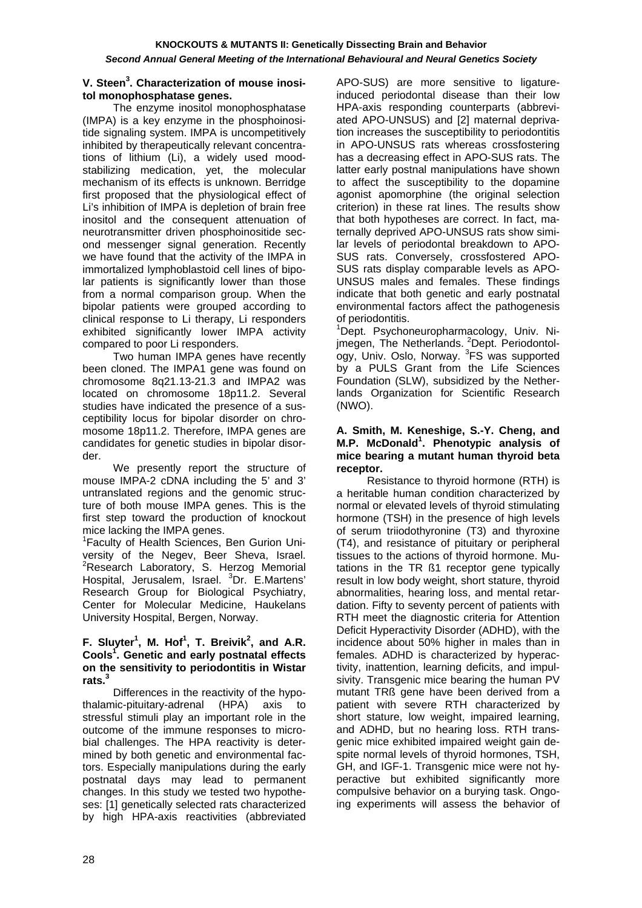#### **V. Steen<sup>3</sup>. Characterization of mouse inositol monophosphatase genes.**

 The enzyme inositol monophosphatase (IMPA) is a key enzyme in the phosphoinositide signaling system. IMPA is uncompetitively inhibited by therapeutically relevant concentrations of lithium (Li), a widely used moodstabilizing medication, yet, the molecular mechanism of its effects is unknown. Berridge first proposed that the physiological effect of Li's inhibition of IMPA is depletion of brain free inositol and the consequent attenuation of neurotransmitter driven phosphoinositide second messenger signal generation. Recently we have found that the activity of the IMPA in immortalized lymphoblastoid cell lines of bipolar patients is significantly lower than those from a normal comparison group. When the bipolar patients were grouped according to clinical response to Li therapy, Li responders exhibited significantly lower IMPA activity compared to poor Li responders.

 Two human IMPA genes have recently been cloned. The IMPA1 gene was found on chromosome 8q21.13-21.3 and IMPA2 was located on chromosome 18p11.2. Several studies have indicated the presence of a susceptibility locus for bipolar disorder on chromosome 18p11.2. Therefore, IMPA genes are candidates for genetic studies in bipolar disorder.

 We presently report the structure of mouse IMPA-2 cDNA including the 5' and 3' untranslated regions and the genomic structure of both mouse IMPA genes. This is the first step toward the production of knockout mice lacking the IMPA genes.

1 Faculty of Health Sciences, Ben Gurion University of the Negev, Beer Sheva, Israel. <sup>2</sup>Research Laboratory, S. Herzog Memorial Hospital, Jerusalem, Israel. <sup>3</sup>Dr. E.Martens' Research Group for Biological Psychiatry, Center for Molecular Medicine, Haukelans University Hospital, Bergen, Norway.

#### **F. Sluyter1 , M. Hof<sup>1</sup> , T. Breivik<sup>2</sup> , and A.R. Cools<sup>1</sup> . Genetic and early postnatal effects on the sensitivity to periodontitis in Wistar rats.3**

 Differences in the reactivity of the hypothalamic-pituitary-adrenal (HPA) axis to stressful stimuli play an important role in the outcome of the immune responses to microbial challenges. The HPA reactivity is determined by both genetic and environmental factors. Especially manipulations during the early postnatal days may lead to permanent changes. In this study we tested two hypotheses: [1] genetically selected rats characterized by high HPA-axis reactivities (abbreviated

APO-SUS) are more sensitive to ligatureinduced periodontal disease than their low HPA-axis responding counterparts (abbreviated APO-UNSUS) and [2] maternal deprivation increases the susceptibility to periodontitis in APO-UNSUS rats whereas crossfostering has a decreasing effect in APO-SUS rats. The latter early postnal manipulations have shown to affect the susceptibility to the dopamine agonist apomorphine (the original selection criterion) in these rat lines. The results show that both hypotheses are correct. In fact, maternally deprived APO-UNSUS rats show similar levels of periodontal breakdown to APO-SUS rats. Conversely, crossfostered APO-SUS rats display comparable levels as APO-UNSUS males and females. These findings indicate that both genetic and early postnatal environmental factors affect the pathogenesis of periodontitis.

<sup>1</sup>Dept. Psychoneuropharmacology, Univ. Nijmegen, The Netherlands. <sup>2</sup>Dept. Periodontology, Univ. Oslo, Norway. <sup>3</sup>FS was supported by a PULS Grant from the Life Sciences Foundation (SLW), subsidized by the Netherlands Organization for Scientific Research (NWO).

#### **A. Smith, M. Keneshige, S.-Y. Cheng, and M.P. McDonald<sup>1</sup> . Phenotypic analysis of mice bearing a mutant human thyroid beta receptor.**

 Resistance to thyroid hormone (RTH) is a heritable human condition characterized by normal or elevated levels of thyroid stimulating hormone (TSH) in the presence of high levels of serum triiodothyronine (T3) and thyroxine (T4), and resistance of pituitary or peripheral tissues to the actions of thyroid hormone. Mutations in the TR ß1 receptor gene typically result in low body weight, short stature, thyroid abnormalities, hearing loss, and mental retardation. Fifty to seventy percent of patients with RTH meet the diagnostic criteria for Attention Deficit Hyperactivity Disorder (ADHD), with the incidence about 50% higher in males than in females. ADHD is characterized by hyperactivity, inattention, learning deficits, and impulsivity. Transgenic mice bearing the human PV mutant TRß gene have been derived from a patient with severe RTH characterized by short stature, low weight, impaired learning, and ADHD, but no hearing loss. RTH transgenic mice exhibited impaired weight gain despite normal levels of thyroid hormones, TSH, GH, and IGF-1. Transgenic mice were not hyperactive but exhibited significantly more compulsive behavior on a burying task. Ongoing experiments will assess the behavior of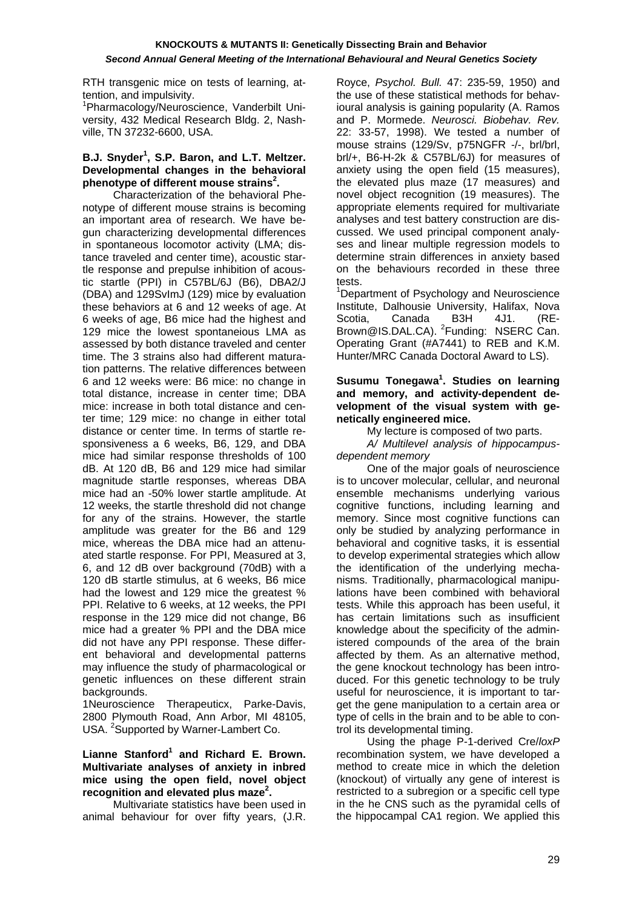RTH transgenic mice on tests of learning, attention, and impulsivity.

<sup>1</sup>Pharmacology/Neuroscience, Vanderbilt University, 432 Medical Research Bldg. 2, Nashville, TN 37232-6600, USA.

# **B.J. Snyder1 , S.P. Baron, and L.T. Meltzer. Developmental changes in the behavioral phenotype of different mouse strains<sup>2</sup> .**

 Characterization of the behavioral Phenotype of different mouse strains is becoming an important area of research. We have begun characterizing developmental differences in spontaneous locomotor activity (LMA; distance traveled and center time), acoustic startle response and prepulse inhibition of acoustic startle (PPI) in C57BL/6J (B6), DBA2/J (DBA) and 129SvImJ (129) mice by evaluation these behaviors at 6 and 12 weeks of age. At 6 weeks of age, B6 mice had the highest and 129 mice the lowest spontaneious LMA as assessed by both distance traveled and center time. The 3 strains also had different maturation patterns. The relative differences between 6 and 12 weeks were: B6 mice: no change in total distance, increase in center time; DBA mice: increase in both total distance and center time; 129 mice: no change in either total distance or center time. In terms of startle responsiveness a 6 weeks, B6, 129, and DBA mice had similar response thresholds of 100 dB. At 120 dB, B6 and 129 mice had similar magnitude startle responses, whereas DBA mice had an -50% lower startle amplitude. At 12 weeks, the startle threshold did not change for any of the strains. However, the startle amplitude was greater for the B6 and 129 mice, whereas the DBA mice had an attenuated startle response. For PPI, Measured at 3, 6, and 12 dB over background (70dB) with a 120 dB startle stimulus, at 6 weeks, B6 mice had the lowest and 129 mice the greatest % PPI. Relative to 6 weeks, at 12 weeks, the PPI response in the 129 mice did not change, B6 mice had a greater % PPI and the DBA mice did not have any PPI response. These different behavioral and developmental patterns may influence the study of pharmacological or genetic influences on these different strain backgrounds.

1Neuroscience Therapeuticx, Parke-Davis, 2800 Plymouth Road, Ann Arbor, MI 48105, USA. <sup>2</sup>Supported by Warner-Lambert Co.

#### Lianne Stanford<sup>1</sup> and Richard E. Brown. **Multivariate analyses of anxiety in inbred mice using the open field, novel object recognition and elevated plus maze<sup>2</sup> .**

 Multivariate statistics have been used in animal behaviour for over fifty years, (J.R.

Royce, *Psychol. Bull.* 47: 235-59, 1950) and the use of these statistical methods for behavioural analysis is gaining popularity (A. Ramos and P. Mormede. *Neurosci. Biobehav. Rev.* 22: 33-57, 1998). We tested a number of mouse strains (129/Sv, p75NGFR -/-, brl/brl, brl/+, B6-H-2k & C57BL/6J) for measures of anxiety using the open field (15 measures), the elevated plus maze (17 measures) and novel object recognition (19 measures). The appropriate elements required for multivariate analyses and test battery construction are discussed. We used principal component analyses and linear multiple regression models to determine strain differences in anxiety based on the behaviours recorded in these three tests.

<sup>1</sup>Department of Psychology and Neuroscience Institute, Dalhousie University, Halifax, Nova Scotia, Canada B3H 4J1. (RE-Brown@IS.DAL.CA). <sup>2</sup>Funding: NSERC Can. Operating Grant (#A7441) to REB and K.M. Hunter/MRC Canada Doctoral Award to LS).

# **Susumu Tonegawa<sup>1</sup> . Studies on learning and memory, and activity-dependent development of the visual system with genetically engineered mice.**

My lecture is composed of two parts.

 *A/ Multilevel analysis of hippocampusdependent memory* 

 One of the major goals of neuroscience is to uncover molecular, cellular, and neuronal ensemble mechanisms underlying various cognitive functions, including learning and memory. Since most cognitive functions can only be studied by analyzing performance in behavioral and cognitive tasks, it is essential to develop experimental strategies which allow the identification of the underlying mechanisms. Traditionally, pharmacological manipulations have been combined with behavioral tests. While this approach has been useful, it has certain limitations such as insufficient knowledge about the specificity of the administered compounds of the area of the brain affected by them. As an alternative method, the gene knockout technology has been introduced. For this genetic technology to be truly useful for neuroscience, it is important to target the gene manipulation to a certain area or type of cells in the brain and to be able to control its developmental timing.

 Using the phage P-1-derived Cre/*loxP* recombination system, we have developed a method to create mice in which the deletion (knockout) of virtually any gene of interest is restricted to a subregion or a specific cell type in the he CNS such as the pyramidal cells of the hippocampal CA1 region. We applied this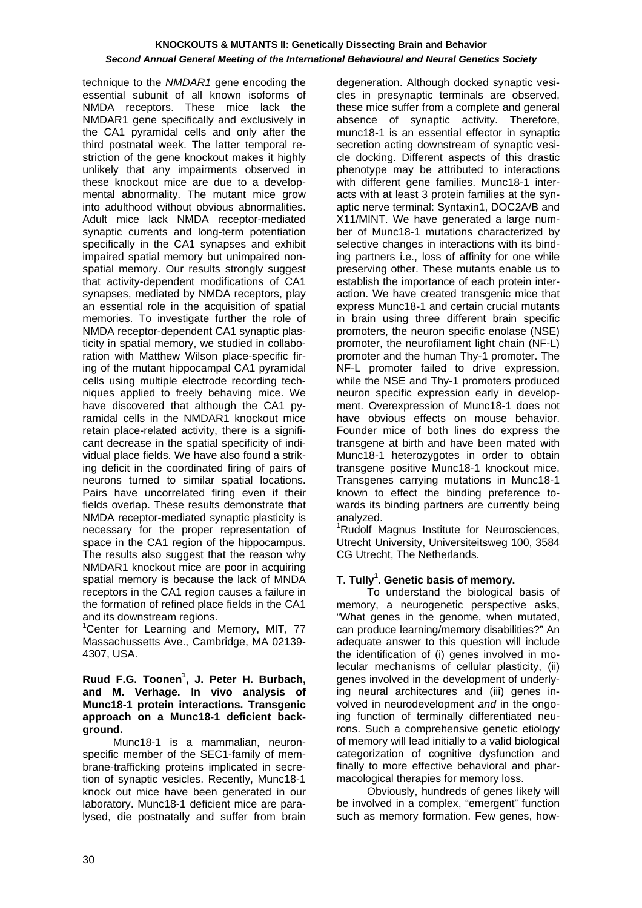technique to the *NMDAR1* gene encoding the essential subunit of all known isoforms of NMDA receptors. These mice lack the NMDAR1 gene specifically and exclusively in the CA1 pyramidal cells and only after the third postnatal week. The latter temporal restriction of the gene knockout makes it highly unlikely that any impairments observed in these knockout mice are due to a developmental abnormality. The mutant mice grow into adulthood without obvious abnormalities. Adult mice lack NMDA receptor-mediated synaptic currents and long-term potentiation specifically in the CA1 synapses and exhibit impaired spatial memory but unimpaired nonspatial memory. Our results strongly suggest that activity-dependent modifications of CA1 synapses, mediated by NMDA receptors, play an essential role in the acquisition of spatial memories. To investigate further the role of NMDA receptor-dependent CA1 synaptic plasticity in spatial memory, we studied in collaboration with Matthew Wilson place-specific firing of the mutant hippocampal CA1 pyramidal cells using multiple electrode recording techniques applied to freely behaving mice. We have discovered that although the CA1 pyramidal cells in the NMDAR1 knockout mice retain place-related activity, there is a significant decrease in the spatial specificity of individual place fields. We have also found a striking deficit in the coordinated firing of pairs of neurons turned to similar spatial locations. Pairs have uncorrelated firing even if their fields overlap. These results demonstrate that NMDA receptor-mediated synaptic plasticity is necessary for the proper representation of space in the CA1 region of the hippocampus. The results also suggest that the reason why NMDAR1 knockout mice are poor in acquiring spatial memory is because the lack of MNDA receptors in the CA1 region causes a failure in the formation of refined place fields in the CA1 and its downstream regions.

<sup>1</sup>Center for Learning and Memory, MIT, 77 Massachussetts Ave., Cambridge, MA 02139- 4307, USA.

#### Ruud F.G. Toonen<sup>1</sup>, J. Peter H. Burbach, **and M. Verhage. In vivo analysis of Munc18-1 protein interactions. Transgenic approach on a Munc18-1 deficient background.**

 Munc18-1 is a mammalian, neuronspecific member of the SEC1-family of membrane-trafficking proteins implicated in secretion of synaptic vesicles. Recently, Munc18-1 knock out mice have been generated in our laboratory. Munc18-1 deficient mice are paralysed, die postnatally and suffer from brain degeneration. Although docked synaptic vesicles in presynaptic terminals are observed, these mice suffer from a complete and general absence of synaptic activity. Therefore, munc18-1 is an essential effector in synaptic secretion acting downstream of synaptic vesicle docking. Different aspects of this drastic phenotype may be attributed to interactions with different gene families. Munc18-1 interacts with at least 3 protein families at the synaptic nerve terminal: Syntaxin1, DOC2A/B and X11/MINT. We have generated a large number of Munc18-1 mutations characterized by selective changes in interactions with its binding partners i.e., loss of affinity for one while preserving other. These mutants enable us to establish the importance of each protein interaction. We have created transgenic mice that express Munc18-1 and certain crucial mutants in brain using three different brain specific promoters, the neuron specific enolase (NSE) promoter, the neurofilament light chain (NF-L) promoter and the human Thy-1 promoter. The NF-L promoter failed to drive expression, while the NSE and Thy-1 promoters produced neuron specific expression early in development. Overexpression of Munc18-1 does not have obvious effects on mouse behavior. Founder mice of both lines do express the transgene at birth and have been mated with Munc18-1 heterozygotes in order to obtain transgene positive Munc18-1 knockout mice. Transgenes carrying mutations in Munc18-1 known to effect the binding preference towards its binding partners are currently being analyzed.

<sup>1</sup>Rudolf Magnus Institute for Neurosciences, Utrecht University, Universiteitsweg 100, 3584 CG Utrecht, The Netherlands.

# **T. Tully1 . Genetic basis of memory.**

 To understand the biological basis of memory, a neurogenetic perspective asks, "What genes in the genome, when mutated, can produce learning/memory disabilities?" An adequate answer to this question will include the identification of (i) genes involved in molecular mechanisms of cellular plasticity, (ii) genes involved in the development of underlying neural architectures and (iii) genes involved in neurodevelopment *and* in the ongoing function of terminally differentiated neurons. Such a comprehensive genetic etiology of memory will lead initially to a valid biological categorization of cognitive dysfunction and finally to more effective behavioral and pharmacological therapies for memory loss.

 Obviously, hundreds of genes likely will be involved in a complex, "emergent" function such as memory formation. Few genes, how-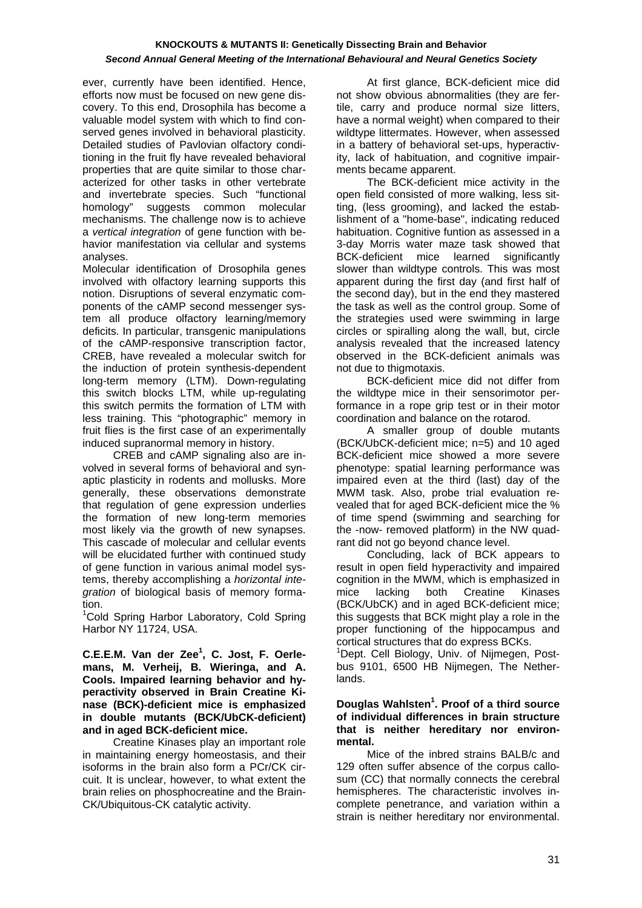ever, currently have been identified. Hence, efforts now must be focused on new gene discovery. To this end, Drosophila has become a valuable model system with which to find conserved genes involved in behavioral plasticity. Detailed studies of Pavlovian olfactory conditioning in the fruit fly have revealed behavioral properties that are quite similar to those characterized for other tasks in other vertebrate and invertebrate species. Such "functional homology" suggests common molecular mechanisms. The challenge now is to achieve a *vertical integration* of gene function with behavior manifestation via cellular and systems analyses.

Molecular identification of Drosophila genes involved with olfactory learning supports this notion. Disruptions of several enzymatic components of the cAMP second messenger system all produce olfactory learning/memory deficits. In particular, transgenic manipulations of the cAMP-responsive transcription factor, CREB, have revealed a molecular switch for the induction of protein synthesis-dependent long-term memory (LTM). Down-regulating this switch blocks LTM, while up-regulating this switch permits the formation of LTM with less training. This "photographic" memory in fruit flies is the first case of an experimentally induced supranormal memory in history.

 CREB and cAMP signaling also are involved in several forms of behavioral and synaptic plasticity in rodents and mollusks. More generally, these observations demonstrate that regulation of gene expression underlies the formation of new long-term memories most likely via the growth of new synapses. This cascade of molecular and cellular events will be elucidated further with continued study of gene function in various animal model systems, thereby accomplishing a *horizontal integration* of biological basis of memory formation.

<sup>1</sup>Cold Spring Harbor Laboratory, Cold Spring Harbor NY 11724, USA.

**C.E.E.M. Van der Zee1 , C. Jost, F. Oerlemans, M. Verheij, B. Wieringa, and A. Cools. Impaired learning behavior and hyperactivity observed in Brain Creatine Kinase (BCK)-deficient mice is emphasized in double mutants (BCK/UbCK-deficient) and in aged BCK-deficient mice.** 

 Creatine Kinases play an important role in maintaining energy homeostasis, and their isoforms in the brain also form a PCr/CK circuit. It is unclear, however, to what extent the brain relies on phosphocreatine and the Brain-CK/Ubiquitous-CK catalytic activity.

 At first glance, BCK-deficient mice did not show obvious abnormalities (they are fertile, carry and produce normal size litters, have a normal weight) when compared to their wildtype littermates. However, when assessed in a battery of behavioral set-ups, hyperactivity, lack of habituation, and cognitive impairments became apparent.

 The BCK-deficient mice activity in the open field consisted of more walking, less sitting, (less grooming), and lacked the establishment of a "home-base", indicating reduced habituation. Cognitive funtion as assessed in a 3-day Morris water maze task showed that BCK-deficient mice learned significantly slower than wildtype controls. This was most apparent during the first day (and first half of the second day), but in the end they mastered the task as well as the control group. Some of the strategies used were swimming in large circles or spiralling along the wall, but, circle analysis revealed that the increased latency observed in the BCK-deficient animals was not due to thigmotaxis.

 BCK-deficient mice did not differ from the wildtype mice in their sensorimotor performance in a rope grip test or in their motor coordination and balance on the rotarod.

 A smaller group of double mutants (BCK/UbCK-deficient mice; n=5) and 10 aged BCK-deficient mice showed a more severe phenotype: spatial learning performance was impaired even at the third (last) day of the MWM task. Also, probe trial evaluation revealed that for aged BCK-deficient mice the % of time spend (swimming and searching for the -now- removed platform) in the NW quadrant did not go beyond chance level.

 Concluding, lack of BCK appears to result in open field hyperactivity and impaired cognition in the MWM, which is emphasized in mice lacking both Creatine Kinases (BCK/UbCK) and in aged BCK-deficient mice; this suggests that BCK might play a role in the proper functioning of the hippocampus and cortical structures that do express BCKs.

<sup>1</sup>Dept. Cell Biology, Univ. of Nijmegen, Postbus 9101, 6500 HB Nijmegen, The Netherlands.

#### **Douglas Wahlsten1 . Proof of a third source of individual differences in brain structure that is neither hereditary nor environmental.**

 Mice of the inbred strains BALB/c and 129 often suffer absence of the corpus callosum (CC) that normally connects the cerebral hemispheres. The characteristic involves incomplete penetrance, and variation within a strain is neither hereditary nor environmental.